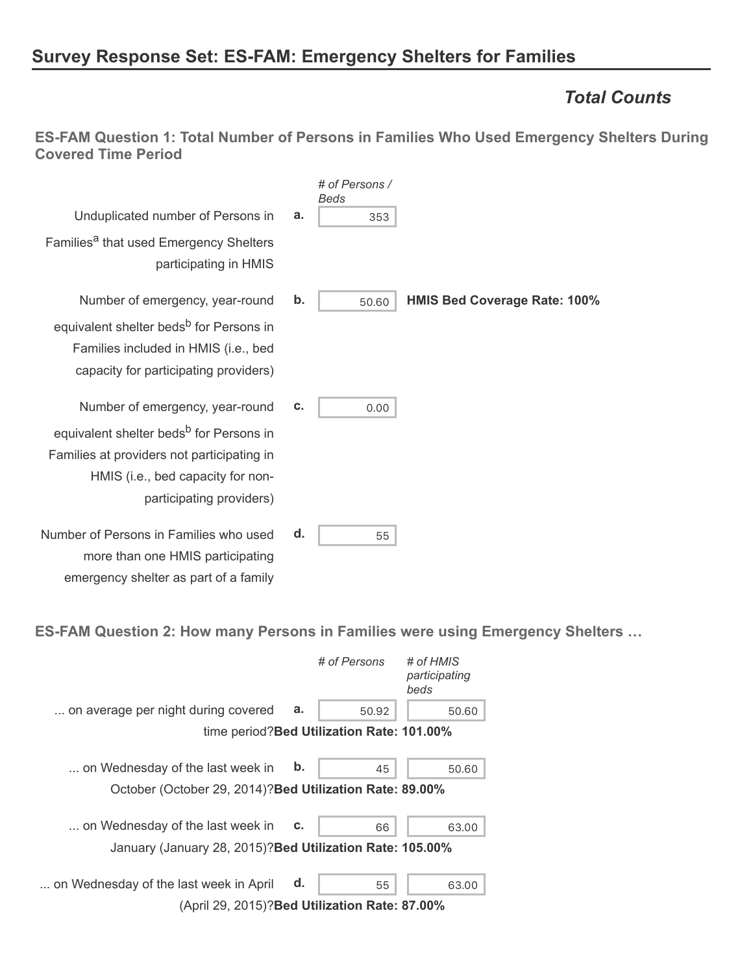# **Survey Response Set: ES-FAM: Emergency Shelters for Families**

### *Total Counts*

**ES-FAM Question 1: Total Number of Persons in Families Who Used Emergency Shelters During Covered Time Period**

|                                                                                                                                                                    |    | # of Persons /<br>Beds |                                     |
|--------------------------------------------------------------------------------------------------------------------------------------------------------------------|----|------------------------|-------------------------------------|
| Unduplicated number of Persons in                                                                                                                                  | a. | 353                    |                                     |
| Families <sup>a</sup> that used Emergency Shelters<br>participating in HMIS                                                                                        |    |                        |                                     |
| Number of emergency, year-round                                                                                                                                    | b. | 50.60                  | <b>HMIS Bed Coverage Rate: 100%</b> |
| equivalent shelter beds <sup>b</sup> for Persons in<br>Families included in HMIS (i.e., bed<br>capacity for participating providers)                               |    |                        |                                     |
| Number of emergency, year-round                                                                                                                                    | c. | 0.00                   |                                     |
| equivalent shelter beds <sup>b</sup> for Persons in<br>Families at providers not participating in<br>HMIS (i.e., bed capacity for non-<br>participating providers) |    |                        |                                     |
| Number of Persons in Families who used<br>more than one HMIS participating<br>emergency shelter as part of a family                                                | d. | 55                     |                                     |

**ES-FAM Question 2: How many Persons in Families were using Emergency Shelters …**

|                                                                                               |    | # of Persons                               | # of HMIS<br>participating<br>beds |
|-----------------------------------------------------------------------------------------------|----|--------------------------------------------|------------------------------------|
| on average per night during covered                                                           | a. | 50.92                                      | 50.60                              |
|                                                                                               |    | time period? Bed Utilization Rate: 101.00% |                                    |
| on Wednesday of the last week in<br>October (October 29, 2014)? Bed Utilization Rate: 89.00%  | b. | 45                                         | 50.60                              |
| on Wednesday of the last week in<br>January (January 28, 2015)? Bed Utilization Rate: 105.00% | c. | 66                                         | 63.00                              |
| on Wednesday of the last week in April<br>(April 29, 2015)? Bed Utilization Rate: 87.00%      | d. | 55                                         | 63.00                              |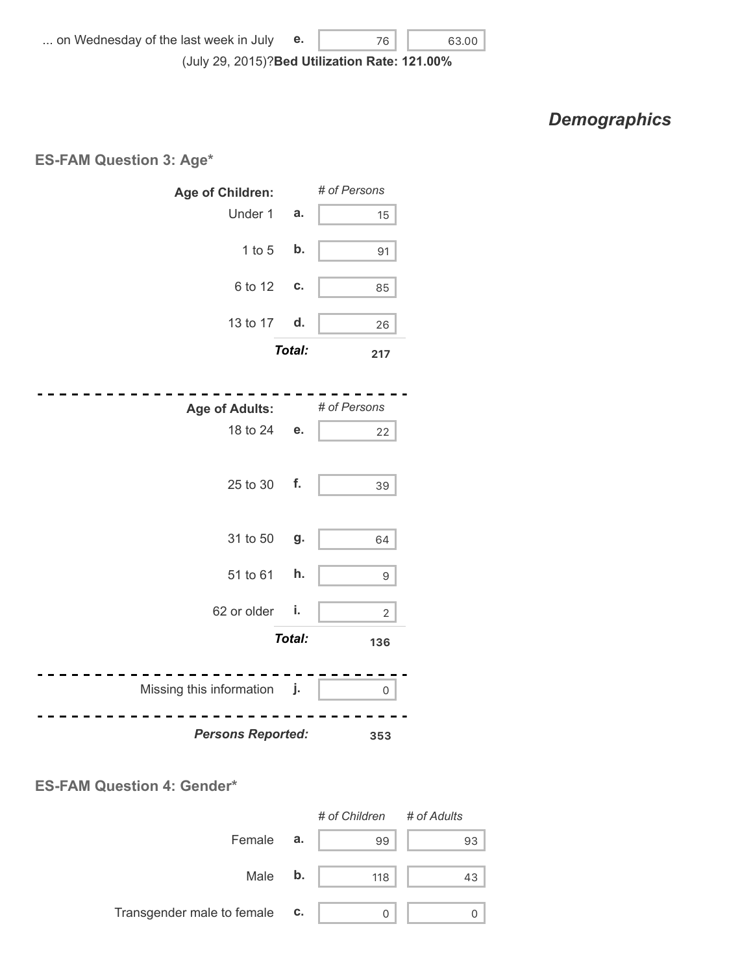*Demographics*

#### **ES-FAM Question 3: Age\***



#### **ES-FAM Question 4: Gender\***

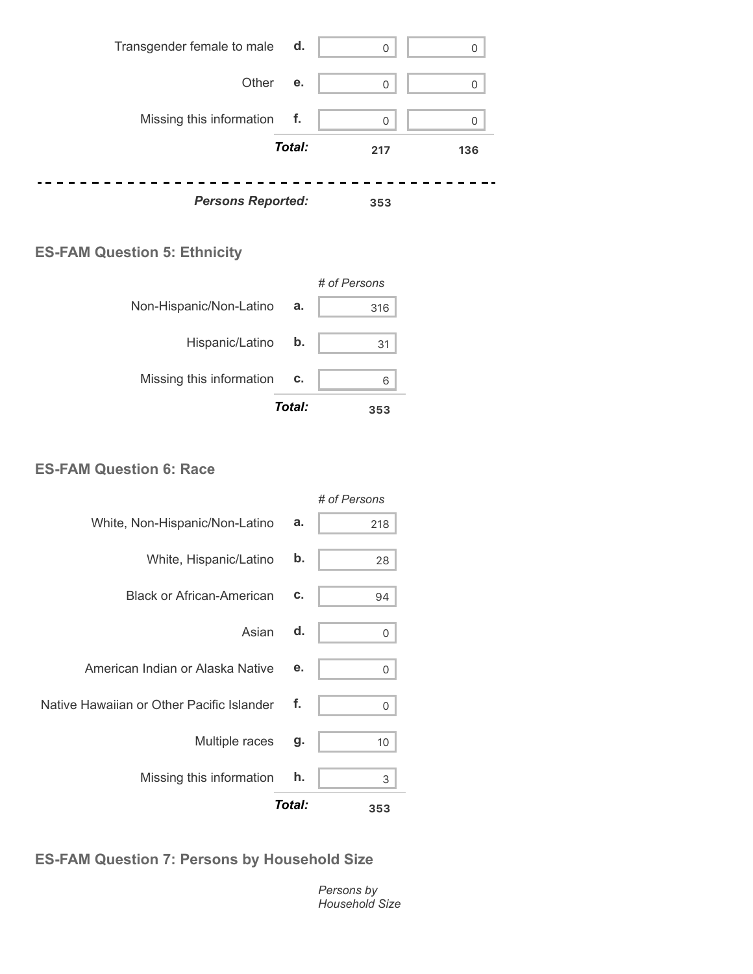

#### **ES-FAM Question 5: Ethnicity**



#### **ES-FAM Question 6: Race**

|                                           |        | # of Persons |
|-------------------------------------------|--------|--------------|
| White, Non-Hispanic/Non-Latino            | a.     | 218          |
| White, Hispanic/Latino                    | b.     | 28           |
| <b>Black or African-American</b>          | c.     | 94           |
| Asian                                     | d.     | 0            |
| American Indian or Alaska Native          | е.     | 0            |
| Native Hawaiian or Other Pacific Islander | f.     | 0            |
| Multiple races                            | g.     | 10           |
| Missing this information                  | h.     | 3            |
|                                           | Total: | 353          |

### **ES-FAM Question 7: Persons by Household Size**

*Persons by Household Size*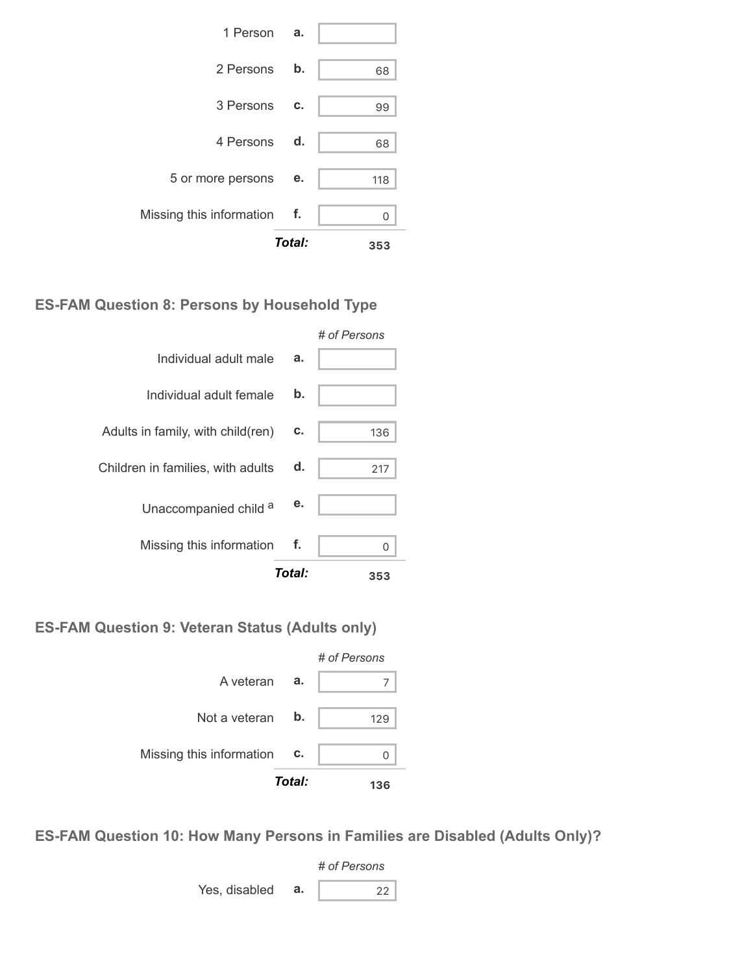|                             | Total: | 353 |
|-----------------------------|--------|-----|
| Missing this information f. |        | ∩   |
| 5 or more persons           | е.     | 118 |
| 4 Persons d.                |        | 68  |
| 3 Persons                   | C.     | 99  |
| 2 Persons                   | b.     | 68  |
| 1 Person a.                 |        |     |

#### **ES-FAM Question 8: Persons by Household Type**

|                                   |        | # of Persons |
|-----------------------------------|--------|--------------|
| Individual adult male             | a.     |              |
| Individual adult female           | b.     |              |
| Adults in family, with child(ren) | С.     | 136          |
| Children in families, with adults | d.     | 217          |
| Unaccompanied child a             | е.     |              |
| Missing this information          | f.     | Λ            |
|                                   | Total: | 353          |

#### **ES-FAM Question 9: Veteran Status (Adults only)**



**ES-FAM Question 10: How Many Persons in Families are Disabled (Adults Only)?**

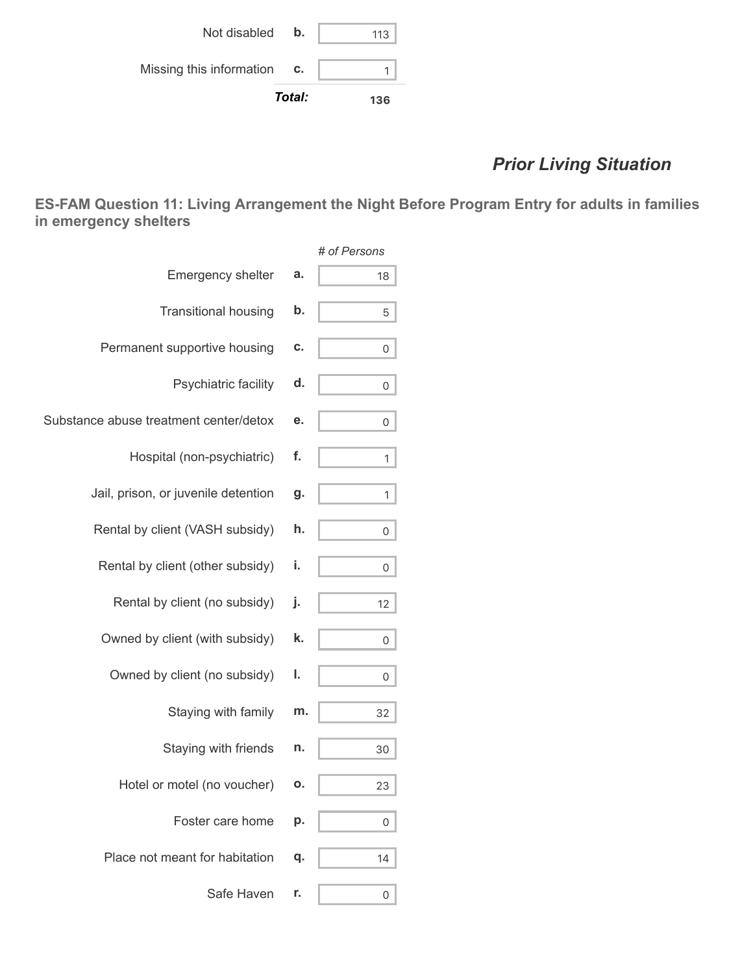|                          | Total:        | 136 |
|--------------------------|---------------|-----|
| Missing this information | C.            |     |
| Not disabled             | $\mathbf b$ . | 113 |

# *Prior Living Situation*

**ES-FAM Question 11: Living Arrangement the Night Before Program Entry for adults in families in emergency shelters**

|                                        |    | # of Persons |
|----------------------------------------|----|--------------|
| <b>Emergency shelter</b>               | a. | 18           |
| <b>Transitional housing</b>            | b. | 5            |
| Permanent supportive housing           | C. | 0            |
| Psychiatric facility                   | d. | 0            |
| Substance abuse treatment center/detox | е. | 0            |
| Hospital (non-psychiatric)             | f. | 1            |
| Jail, prison, or juvenile detention    | g. | 1            |
| Rental by client (VASH subsidy)        | h. | 0            |
| Rental by client (other subsidy)       | i. | 0            |
| Rental by client (no subsidy)          | j. | 12           |
| Owned by client (with subsidy)         | k. | 0            |
| Owned by client (no subsidy)           | ı. | 0            |
| Staying with family                    | m. | 32           |
| Staying with friends                   | n. | 30           |
| Hotel or motel (no voucher)            | ο. | 23           |
| Foster care home                       | р. | 0            |
| Place not meant for habitation         | q. | 14           |
| Safe Haven                             | r. | 0            |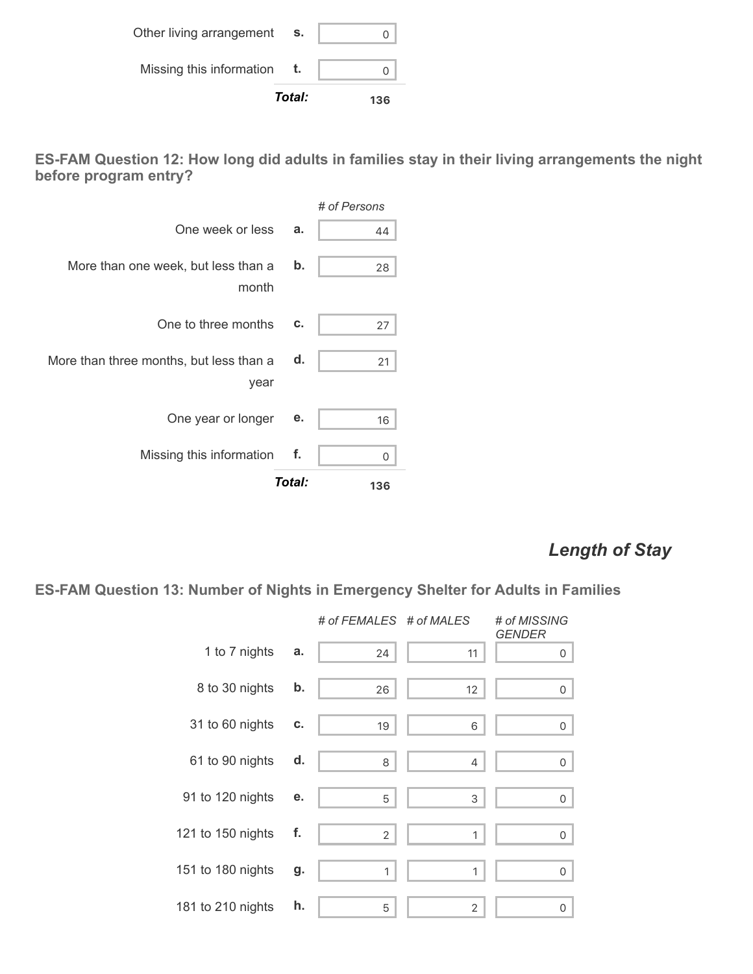|                          | Total: | 136 |
|--------------------------|--------|-----|
| Missing this information |        |     |
| Other living arrangement | s.     |     |

**ES-FAM Question 12: How long did adults in families stay in their living arrangements the night before program entry?**

|                                                 |               | # of Persons |
|-------------------------------------------------|---------------|--------------|
| One week or less                                | a.            | 44           |
| More than one week, but less than a<br>month    | $\mathbf b$ . | 28           |
| One to three months                             | c.            | 27           |
| More than three months, but less than a<br>year | d.            | 21           |
| One year or longer                              | е.            | 16           |
| Missing this information                        | f.            | 0            |
|                                                 | Total:        | 136          |

# *Length of Stay*

**ES-FAM Question 13: Number of Nights in Emergency Shelter for Adults in Families**

|                   |    | # of FEMALES # of MALES |                | # of MISSING<br><b>GENDER</b> |
|-------------------|----|-------------------------|----------------|-------------------------------|
| 1 to 7 nights     | a. | 24                      | 11             | 0                             |
| 8 to 30 nights    | b. | 26                      | 12             | 0                             |
| 31 to 60 nights   | C. | 19                      | 6              | 0                             |
| 61 to 90 nights   | d. | 8                       | 4              | 0                             |
| 91 to 120 nights  | е. | 5                       | 3              | 0                             |
| 121 to 150 nights | f. | $\overline{2}$          | 1              | $\mathsf{O}\xspace$           |
| 151 to 180 nights | g. | $\mathbf{1}$            | 1              | 0                             |
| 181 to 210 nights | h. | 5                       | $\overline{2}$ | 0                             |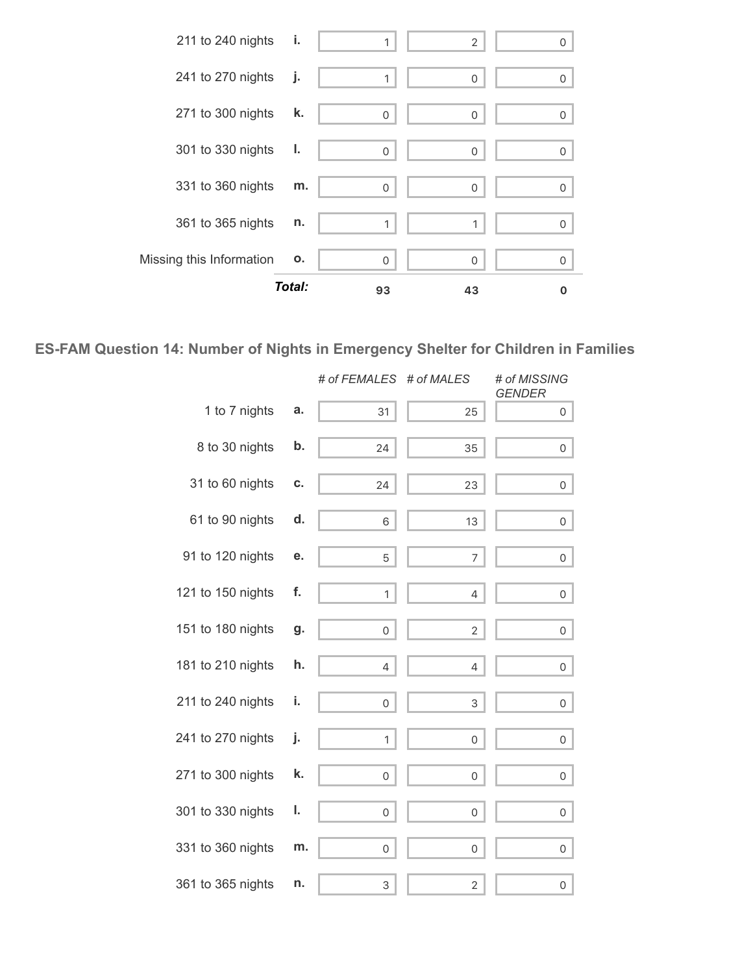

### **ES-FAM Question 14: Number of Nights in Emergency Shelter for Children in Families**

|                   |    | # of FEMALES | # of MALES     | # of MISSING<br><b>GENDER</b> |
|-------------------|----|--------------|----------------|-------------------------------|
| 1 to 7 nights     | a. | 31           | 25             | $\mathsf{O}$                  |
| 8 to 30 nights    | b. | 24           | 35             | $\overline{0}$                |
| 31 to 60 nights   | c. | 24           | 23             | 0 <sup>1</sup>                |
| 61 to 90 nights   | d. | 6            | 13             | 0 <sup>1</sup>                |
| 91 to 120 nights  | е. | 5            | $\overline{7}$ | $\overline{0}$                |
| 121 to 150 nights | f. | 1            | 4              | 0                             |
| 151 to 180 nights | g. | 0            | $\sqrt{2}$     | $\overline{0}$                |
| 181 to 210 nights | h. | 4            | 4              | $\circ$                       |
| 211 to 240 nights | i. | 0            | 3              | $\overline{0}$                |
| 241 to 270 nights | j. | 1            | 0              | $\overline{0}$                |
| 271 to 300 nights | k. | $\mathsf{O}$ | 0              | $\overline{0}$                |
| 301 to 330 nights | ı. | 0            | $\mathbf 0$    | $\overline{0}$                |
| 331 to 360 nights | m. | 0            | 0              | 0                             |
| 361 to 365 nights | n. | 3            | $\sqrt{2}$     | $\mathsf{O}\xspace$           |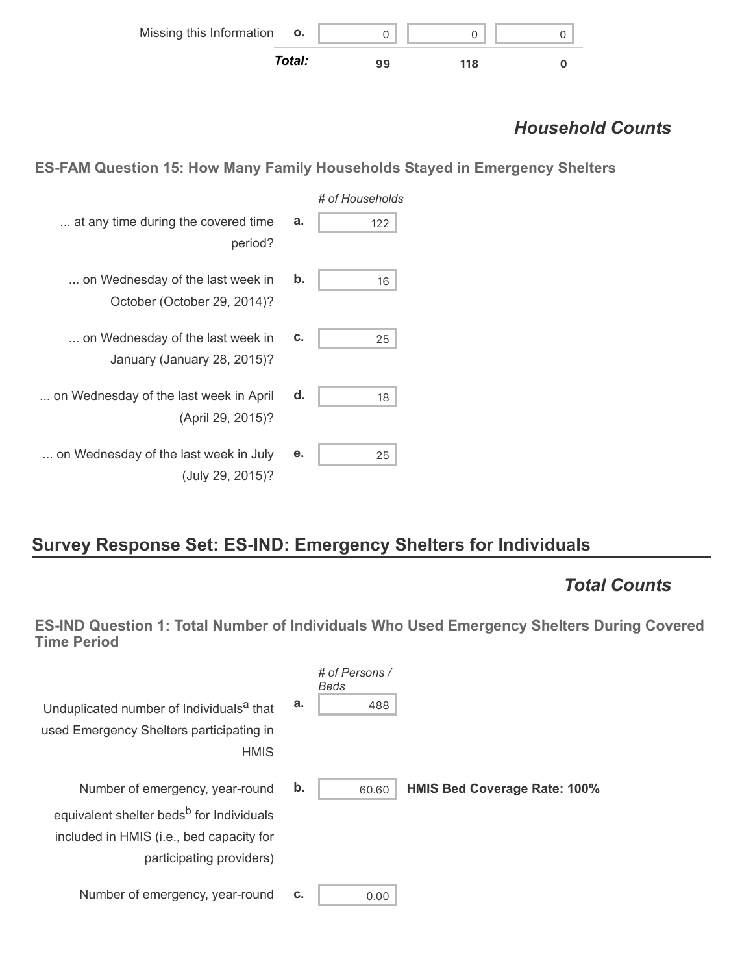| Missing this Information o. |        |    |     |  |
|-----------------------------|--------|----|-----|--|
|                             | Total: | 99 | 118 |  |

# *Household Counts*

**ES-FAM Question 15: How Many Family Households Stayed in Emergency Shelters**

| # of Households |    |                                                                 |
|-----------------|----|-----------------------------------------------------------------|
| 122             | a. | at any time during the covered time<br>period?                  |
| 16              | b. | on Wednesday of the last week in<br>October (October 29, 2014)? |
| 25              | c. | on Wednesday of the last week in<br>January (January 28, 2015)? |
| 18              | d. | on Wednesday of the last week in April<br>(April 29, 2015)?     |
| 25              | е. | on Wednesday of the last week in July<br>(July 29, 2015)?       |

# **Survey Response Set: ES-IND: Emergency Shelters for Individuals**

### *Total Counts*

**ES-IND Question 1: Total Number of Individuals Who Used Emergency Shelters During Covered Time Period**

| Unduplicated number of Individuals <sup>a</sup> that<br>used Emergency Shelters participating in<br><b>HMIS</b>                                                 | a. | # of Persons /<br><b>Beds</b><br>488 |                                     |
|-----------------------------------------------------------------------------------------------------------------------------------------------------------------|----|--------------------------------------|-------------------------------------|
| Number of emergency, year-round<br>equivalent shelter beds <sup>b</sup> for Individuals<br>included in HMIS (i.e., bed capacity for<br>participating providers) | b. | 60.60                                | <b>HMIS Bed Coverage Rate: 100%</b> |
| Number of emergency, year-round                                                                                                                                 | C. | 0.00                                 |                                     |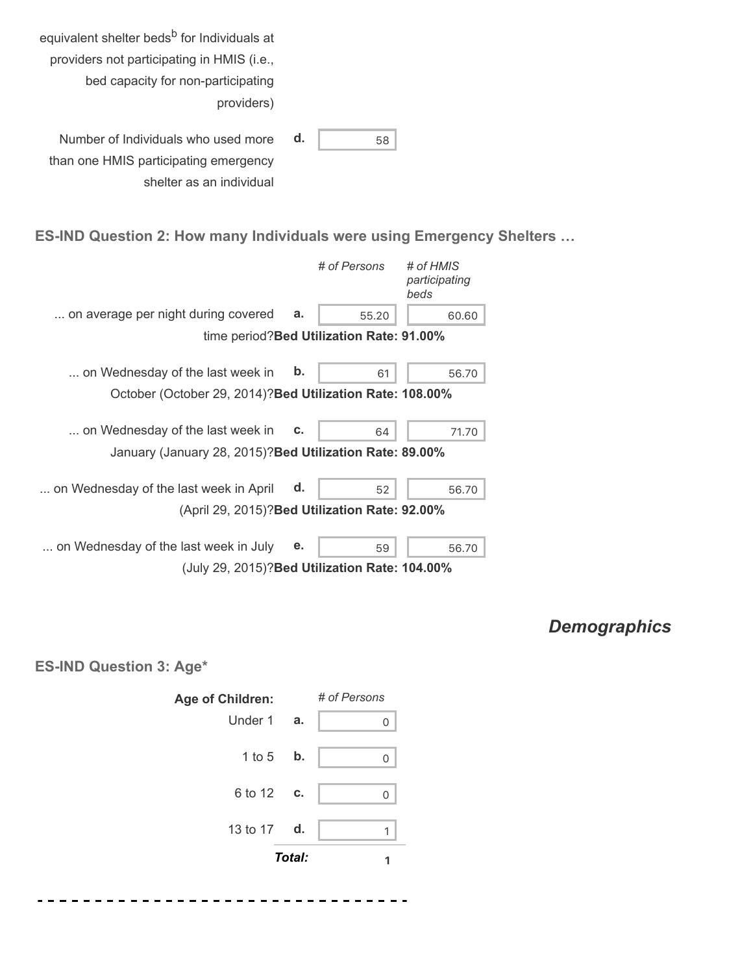| equivalent shelter beds <sup>b</sup> for Individuals at |    |    |
|---------------------------------------------------------|----|----|
| providers not participating in HMIS (i.e.,              |    |    |
| bed capacity for non-participating                      |    |    |
| providers)                                              |    |    |
|                                                         |    |    |
| Number of Individuals who used more                     | d. | 58 |
| than one HMIS participating emergency                   |    |    |
| shelter as an individual                                |    |    |

#### **ES-IND Question 2: How many Individuals were using Emergency Shelters …**

|                                                           |               | # of Persons                              | # of HMIS<br>participating<br>beds |
|-----------------------------------------------------------|---------------|-------------------------------------------|------------------------------------|
| on average per night during covered                       | a.            | 55.20                                     | 60.60                              |
|                                                           |               | time period? Bed Utilization Rate: 91.00% |                                    |
| on Wednesday of the last week in                          | $\mathbf b$ . | 61                                        | 56.70                              |
| October (October 29, 2014)? Bed Utilization Rate: 108.00% |               |                                           |                                    |
| on Wednesday of the last week in                          | c.            | 64                                        | 71.70                              |
| January (January 28, 2015)? Bed Utilization Rate: 89.00%  |               |                                           |                                    |
| on Wednesday of the last week in April                    | d.            | 52                                        | 56.70                              |
| (April 29, 2015)? Bed Utilization Rate: 92.00%            |               |                                           |                                    |
| on Wednesday of the last week in July                     | е.            | 59                                        | 56.70                              |
| (July 29, 2015)? Bed Utilization Rate: 104.00%            |               |                                           |                                    |

## *Demographics*

**ES-IND Question 3: Age\***



. . . .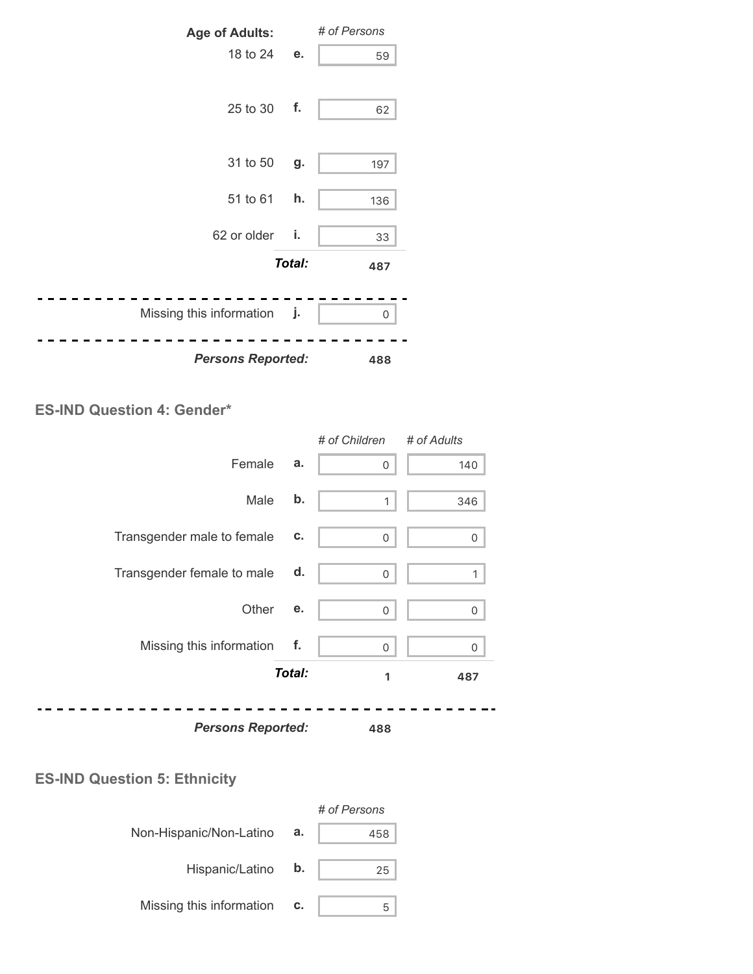

#### **ES-IND Question 4: Gender\***

|                            |        | # of Children | # of Adults |
|----------------------------|--------|---------------|-------------|
| Female                     | a.     | 0             | 140         |
| Male                       | b.     | $\mathbf{1}$  | 346         |
| Transgender male to female | С.     | 0             | 0           |
| Transgender female to male | d.     | 0             |             |
| Other                      | е.     | 0             | 0           |
| Missing this information   | f.     | 0             | 0           |
|                            | Total: | 1             | 487         |
| <b>Persons Reported:</b>   |        | 488           |             |
|                            |        |               |             |

### **ES-IND Question 5: Ethnicity**

|                          |    | # of Persons |
|--------------------------|----|--------------|
| Non-Hispanic/Non-Latino  | а. | 458          |
| Hispanic/Latino          | b. | 25           |
| Missing this information | c. |              |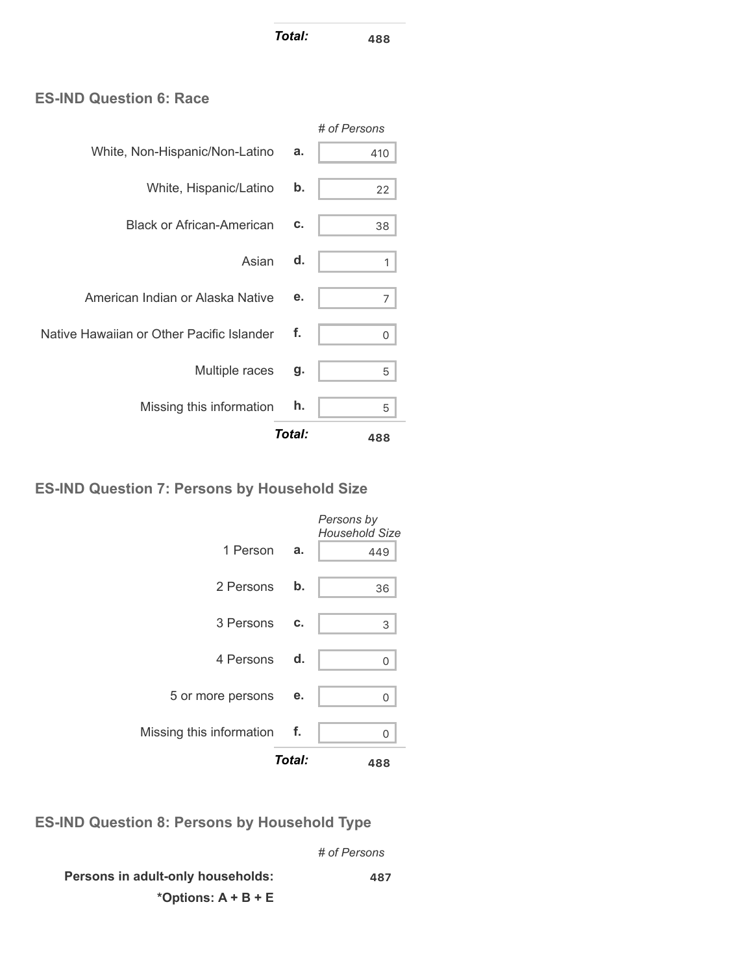*Total:* **<sup>488</sup>**

#### **ES-IND Question 6: Race**

|                                           |        | # of Persons |
|-------------------------------------------|--------|--------------|
| White, Non-Hispanic/Non-Latino            | a.     | 410          |
| White, Hispanic/Latino                    | b.     | 22           |
| <b>Black or African-American</b>          | c.     | 38           |
| Asian                                     | d.     |              |
| American Indian or Alaska Native          | е.     | 7            |
| Native Hawaiian or Other Pacific Islander | f.     | 0            |
| Multiple races                            | g.     | 5            |
| Missing this information                  | h.     | 5            |
|                                           | Total: | 488          |

#### **ES-IND Question 7: Persons by Household Size**

|                             | Total: | 488                                 |
|-----------------------------|--------|-------------------------------------|
| Missing this information f. |        | U                                   |
| 5 or more persons           | е.     | 0                                   |
| 4 Persons d.                |        | U                                   |
| 3 Persons                   | C.     | 3                                   |
| 2 Persons                   | b.     | 36                                  |
| 1 Person                    | а.     | 449                                 |
|                             |        | Persons by<br><b>Household Size</b> |

**ES-IND Question 8: Persons by Household Type**

*# of Persons*

**Persons in adult-only households: \*Options: A + B + E 487**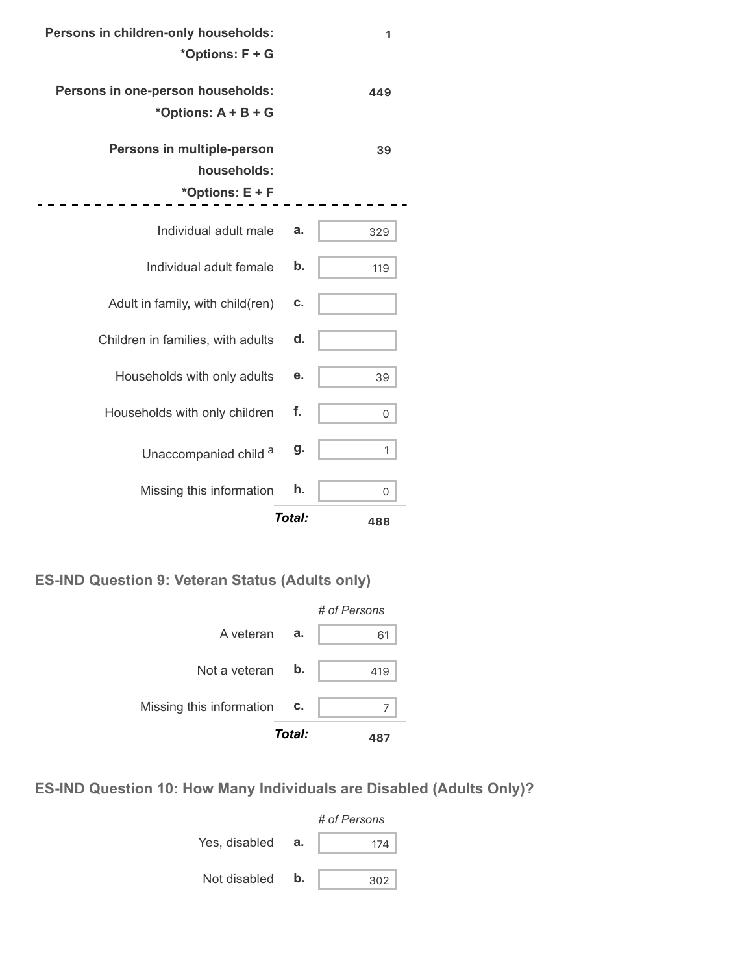| Persons in children-only households: |               | 1   |
|--------------------------------------|---------------|-----|
| *Options: F + G                      |               |     |
| Persons in one-person households:    |               | 449 |
| *Options: $A + B + G$                |               |     |
| Persons in multiple-person           |               | 39  |
| households:                          |               |     |
| *Options: E + F                      |               |     |
| Individual adult male                | а.            | 329 |
|                                      |               |     |
| Individual adult female              | $\mathbf b$ . | 119 |
| Adult in family, with child(ren)     | c.            |     |
| Children in families, with adults    | d.            |     |
| Households with only adults          | е.            | 39  |
| Households with only children        | f.            | 0   |
| Unaccompanied child a                | g.            | 1   |
| Missing this information             | h.            | 0   |
|                                      | Total:        | 488 |

.

**ES-IND Question 9: Veteran Status (Adults only)**



**ES-IND Question 10: How Many Individuals are Disabled (Adults Only)?**

|               |    | # of Persons |  |  |
|---------------|----|--------------|--|--|
| Yes, disabled | а. | 174          |  |  |
| Not disabled  | b. | 302          |  |  |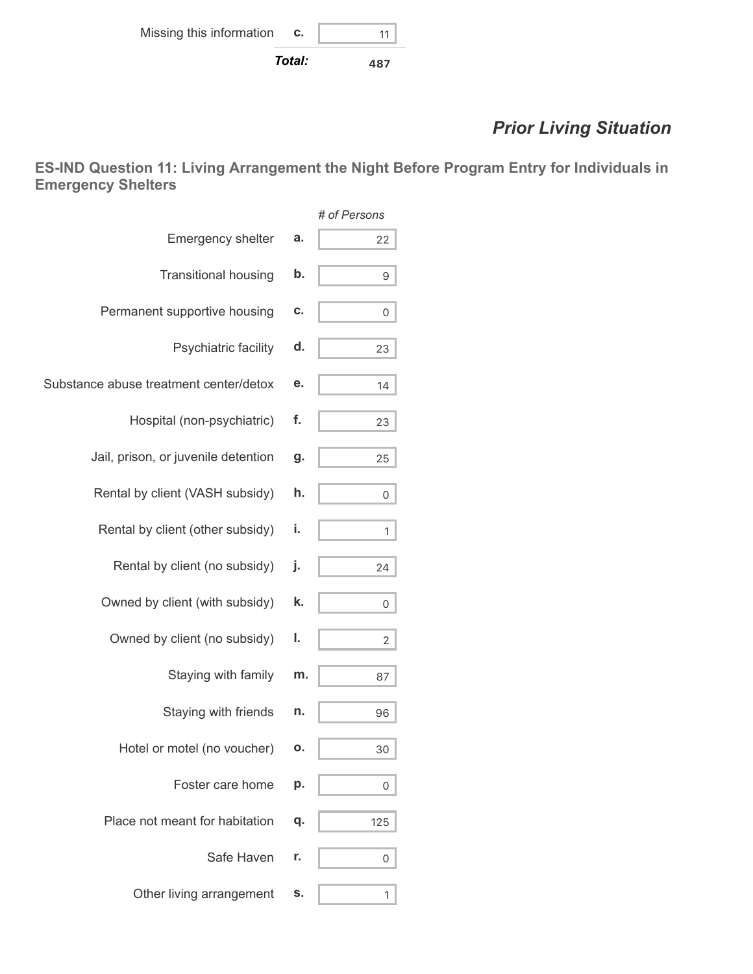# *Prior Living Situation*

**ES-IND Question 11: Living Arrangement the Night Before Program Entry for Individuals in Emergency Shelters**

|                                        |    | # of Persons |
|----------------------------------------|----|--------------|
| Emergency shelter                      | a. | 22           |
| <b>Transitional housing</b>            | b. | 9            |
| Permanent supportive housing           | C. | 0            |
| Psychiatric facility                   | d. | 23           |
| Substance abuse treatment center/detox | е. | 14           |
| Hospital (non-psychiatric)             | f. | 23           |
| Jail, prison, or juvenile detention    | g. | 25           |
| Rental by client (VASH subsidy)        | h. | 0            |
| Rental by client (other subsidy)       | i. | 1            |
| Rental by client (no subsidy)          | j. | 24           |
| Owned by client (with subsidy)         | k. | 0            |
| Owned by client (no subsidy)           | ı. | 2            |
| Staying with family                    | m. | 87           |
| Staying with friends                   | n. | 96           |
| Hotel or motel (no voucher)            | Ο. | 30           |
| Foster care home                       | p. | 0            |
| Place not meant for habitation         | q. | 125          |
| Safe Haven                             | r. | 0            |
| Other living arrangement               | s. | 1            |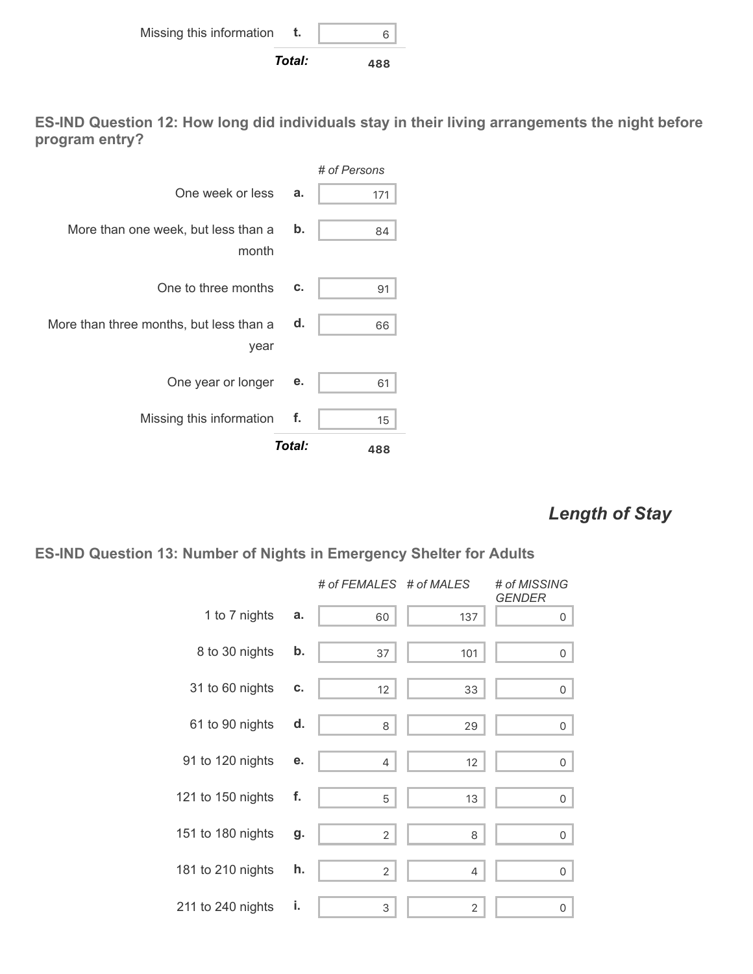

**ES-IND Question 12: How long did individuals stay in their living arrangements the night before program entry?**



### *Length of Stay*

#### **ES-IND Question 13: Number of Nights in Emergency Shelter for Adults**

|                   |    | # of FEMALES # of MALES |                | # of MISSING<br><b>GENDER</b> |
|-------------------|----|-------------------------|----------------|-------------------------------|
| 1 to 7 nights     | a. | 60                      | 137            | $\overline{0}$                |
| 8 to 30 nights    | b. | 37                      | 101            | 0                             |
| 31 to 60 nights   | С. | $12 \,$                 | 33             | 0                             |
| 61 to 90 nights   | d. | 8                       | 29             | 0                             |
| 91 to 120 nights  | е. | 4                       | 12             | 0                             |
| 121 to 150 nights | f. | 5                       | 13             | 0                             |
| 151 to 180 nights | g. | $\overline{2}$          | 8              | 0                             |
| 181 to 210 nights | h. | $\overline{2}$          | 4              | 0                             |
| 211 to 240 nights | i. | 3                       | $\overline{2}$ | 0                             |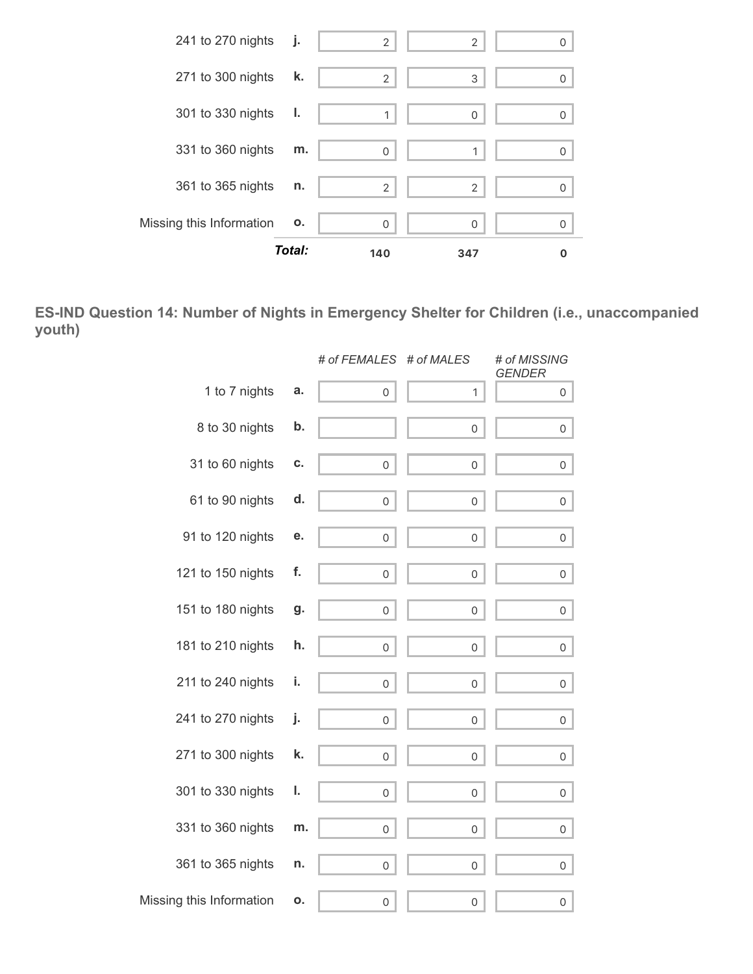

**ES-IND Question 14: Number of Nights in Emergency Shelter for Children (i.e., unaccompanied youth)**

|                          |    | # of FEMALES # of MALES |                     | # of MISSING<br><b>GENDER</b> |
|--------------------------|----|-------------------------|---------------------|-------------------------------|
| 1 to 7 nights            | a. | $\mathsf{O}\xspace$     | 1                   | 0                             |
| 8 to 30 nights           | b. |                         | 0                   | 0                             |
| 31 to 60 nights          | С. | 0                       | 0                   | 0                             |
| 61 to 90 nights          | d. | 0                       | $\mathbf 0$         | 0                             |
| 91 to 120 nights         | е. | 0                       | $\mathbf 0$         | 0                             |
| 121 to 150 nights        | f. | 0                       | $\mathbf 0$         | 0                             |
| 151 to 180 nights        | g. | 0                       | 0                   | $\overline{0}$                |
| 181 to 210 nights        | h. | 0                       | 0                   | 0                             |
| 211 to 240 nights        | i. | 0                       | 0                   | 0                             |
| 241 to 270 nights        | j. | 0                       | 0                   | 0                             |
| 271 to 300 nights        | k. | 0                       | $\mathsf{O}\xspace$ | 0                             |
| 301 to 330 nights        | ı. | 0                       | $\mathbf 0$         | 0                             |
| 331 to 360 nights        | m. | 0                       | $\mathbf 0$         | 0                             |
| 361 to 365 nights        | n. | $\mathsf{O}\xspace$     | 0                   | 0                             |
| Missing this Information | ο. | 0                       | 0                   | 0                             |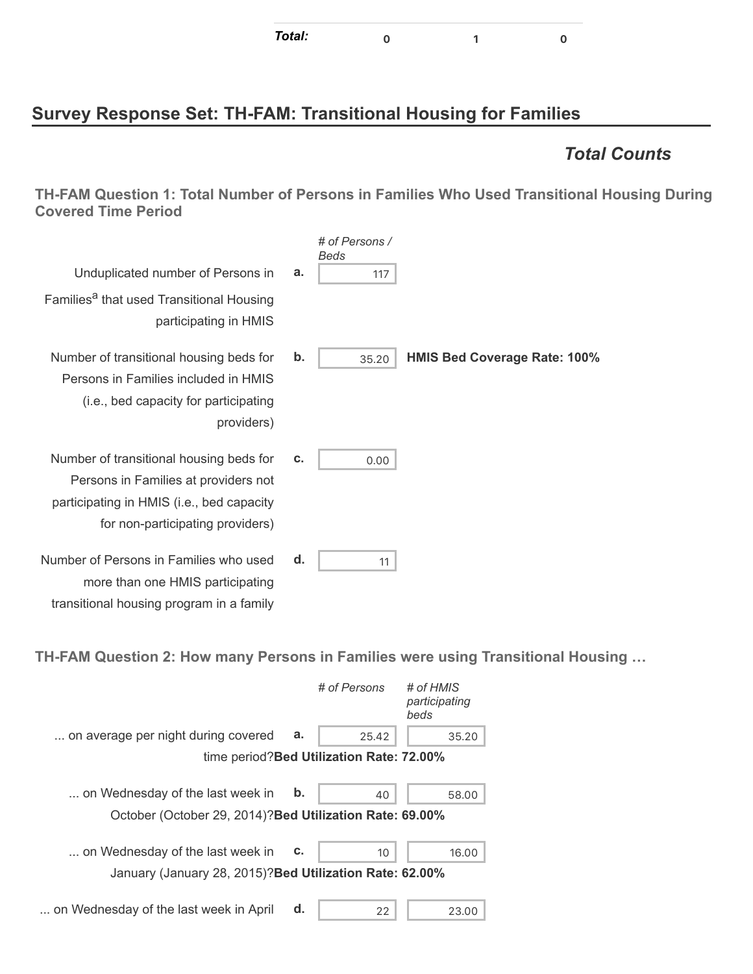## **Survey Response Set: TH-FAM: Transitional Housing for Families**

### *Total Counts*

**TH-FAM Question 1: Total Number of Persons in Families Who Used Transitional Housing During Covered Time Period**

|                                                                                                                                                                  |    | # of Persons /<br>Beds |                                     |
|------------------------------------------------------------------------------------------------------------------------------------------------------------------|----|------------------------|-------------------------------------|
| Unduplicated number of Persons in                                                                                                                                | a. | 117                    |                                     |
| Families <sup>a</sup> that used Transitional Housing<br>participating in HMIS                                                                                    |    |                        |                                     |
| Number of transitional housing beds for<br>Persons in Families included in HMIS<br>(i.e., bed capacity for participating<br>providers)                           | b. | 35.20                  | <b>HMIS Bed Coverage Rate: 100%</b> |
| Number of transitional housing beds for<br>Persons in Families at providers not<br>participating in HMIS (i.e., bed capacity<br>for non-participating providers) | c. | 0.00                   |                                     |
| Number of Persons in Families who used<br>more than one HMIS participating                                                                                       | d. | 11                     |                                     |

**TH-FAM Question 2: How many Persons in Families were using Transitional Housing …**

|                                                          |    | # of Persons                              | # of HMIS<br>participating<br>beds |
|----------------------------------------------------------|----|-------------------------------------------|------------------------------------|
| on average per night during covered                      | а. | 25.42                                     | 35.20                              |
|                                                          |    | time period? Bed Utilization Rate: 72.00% |                                    |
| on Wednesday of the last week in                         | b. | 40                                        | 58.00                              |
| October (October 29, 2014)? Bed Utilization Rate: 69.00% |    |                                           |                                    |
| on Wednesday of the last week in                         | C. | 10                                        | 16.00                              |
| January (January 28, 2015)? Bed Utilization Rate: 62.00% |    |                                           |                                    |
| on Wednesday of the last week in April                   | d. | 22                                        | 23.00                              |

transitional housing program in a family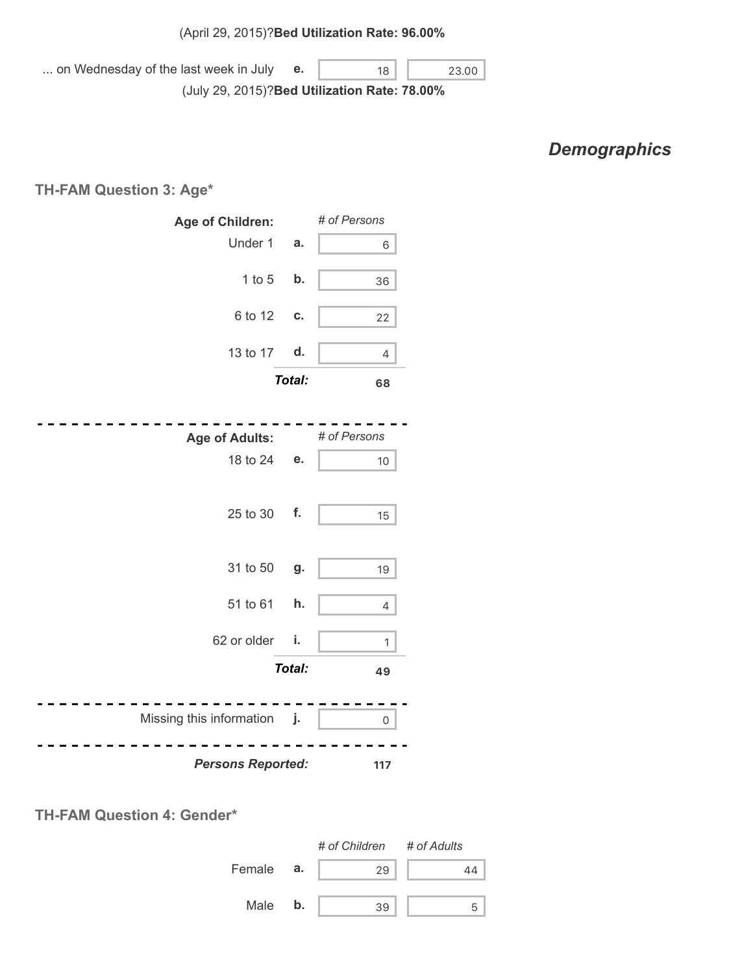... on Wednesday of the last week in July (July 29, 2015)? **Bed Utilization Rate: 78.00% e.**  $\begin{array}{|c|c|c|c|c|} \hline \textbf{18} & \textbf{23.00} \end{array}$ 

## *Demographics*

**TH-FAM Question 3: Age\***

| Age of Children:            |               | # of Persons        |
|-----------------------------|---------------|---------------------|
| Under 1                     | a.            | 6                   |
| $1$ to $5$                  | b.            | 36                  |
| 6 to 12                     | C.            | 22                  |
| 13 to 17                    | d.            | 4                   |
|                             | Total:        | 68                  |
|                             |               |                     |
| <b>Age of Adults:</b>       |               | # of Persons        |
| 18 to 24                    | e.            | 10                  |
|                             |               |                     |
| 25 to 30                    | f.            | 15                  |
|                             |               |                     |
| 31 to 50                    | g.            | 19                  |
| 51 to 61                    | h.            | 4                   |
| 62 or older                 | i.            | $\mathbf{1}$        |
|                             | <b>Total:</b> | 49                  |
|                             |               |                     |
| Missing this information j. |               | $\mathsf{O}\xspace$ |
| <b>Persons Reported:</b>    |               | 117                 |



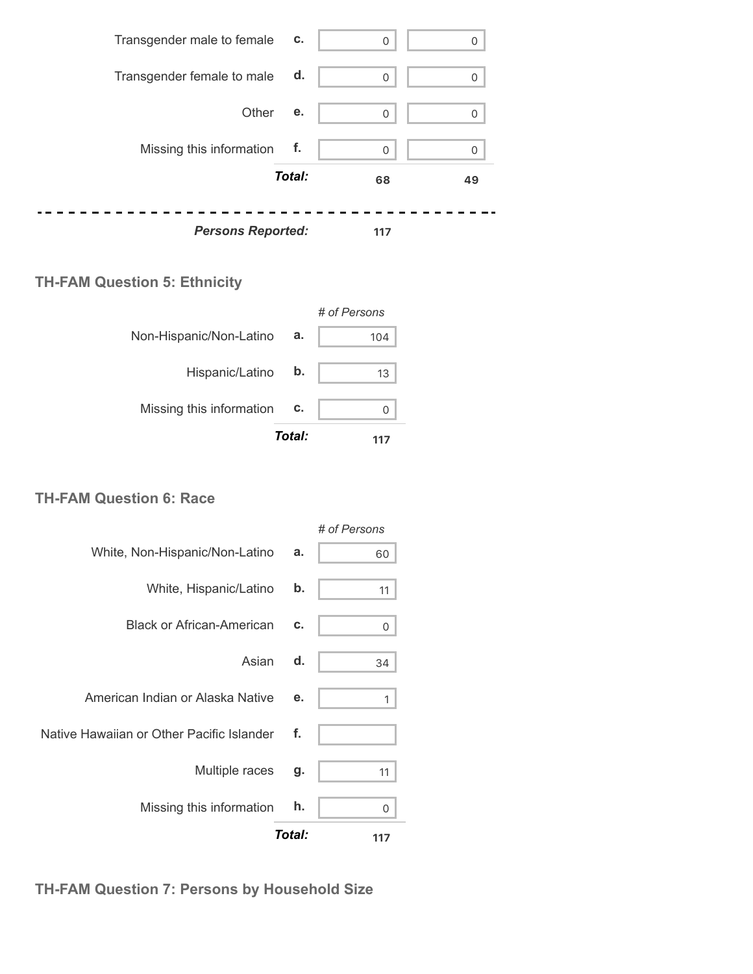

#### **TH-FAM Question 5: Ethnicity**

|                          |        | # of Persons |
|--------------------------|--------|--------------|
| Non-Hispanic/Non-Latino  | а.     | 104          |
| Hispanic/Latino          | b.     | 13           |
| Missing this information | c.     |              |
|                          | Total: |              |

#### **TH-FAM Question 6: Race**

|                                           |               | # of Persons |
|-------------------------------------------|---------------|--------------|
| White, Non-Hispanic/Non-Latino            | a.            | 60           |
| White, Hispanic/Latino                    | $\mathbf b$ . | 11           |
| <b>Black or African-American</b>          | c.            | 0            |
| Asian                                     | d.            | 34           |
| American Indian or Alaska Native          | е.            | 1            |
| Native Hawaiian or Other Pacific Islander | f.            |              |
| Multiple races                            | g.            | 11           |
| Missing this information                  | h.            | 0            |
|                                           | Total:        | 117          |

**TH-FAM Question 7: Persons by Household Size**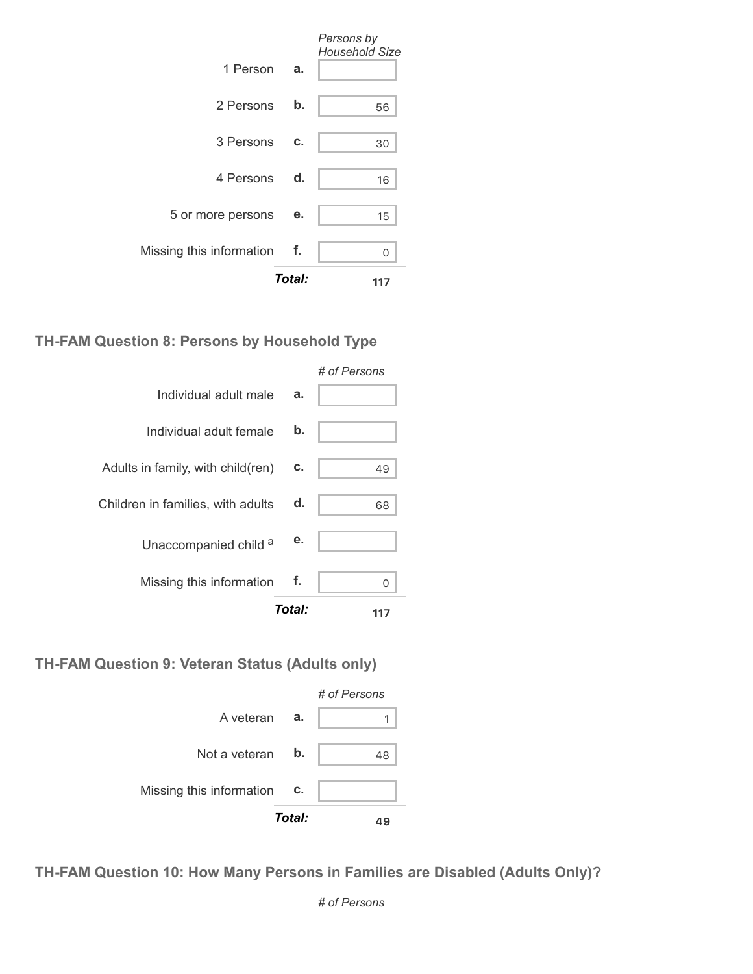|                             |        | Persons by<br><b>Household Size</b> |
|-----------------------------|--------|-------------------------------------|
| 1 Person                    | a.     |                                     |
| 2 Persons                   | b.     | 56                                  |
| 3 Persons                   | C.     | 30                                  |
| 4 Persons d.                |        | 16                                  |
| 5 or more persons           | е.     | 15                                  |
| Missing this information f. |        | ი                                   |
|                             | Total: | 117                                 |

#### **TH-FAM Question 8: Persons by Household Type**



#### **TH-FAM Question 9: Veteran Status (Adults only)**



**TH-FAM Question 10: How Many Persons in Families are Disabled (Adults Only)?**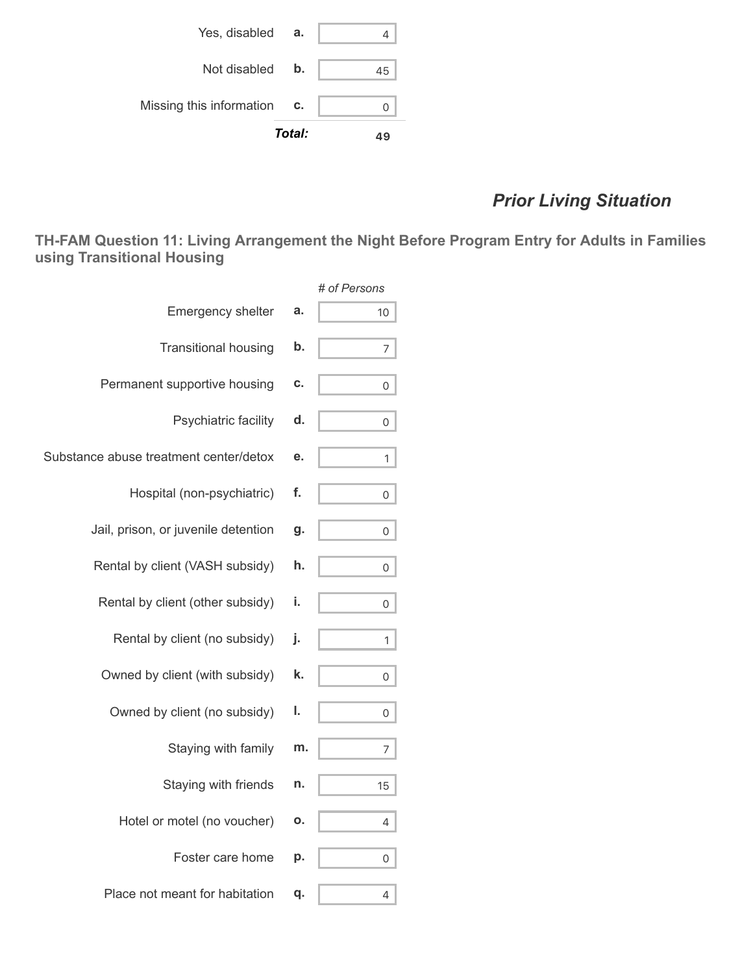

# *Prior Living Situation*

**TH-FAM Question 11: Living Arrangement the Night Before Program Entry for Adults in Families using Transitional Housing**

|                                        |    | # of Persons |
|----------------------------------------|----|--------------|
| <b>Emergency shelter</b>               | a. | 10           |
| <b>Transitional housing</b>            | b. | 7            |
| Permanent supportive housing           | c. | 0            |
| Psychiatric facility                   | d. | 0            |
| Substance abuse treatment center/detox | е. | 1            |
| Hospital (non-psychiatric)             | f. | 0            |
| Jail, prison, or juvenile detention    | g. | 0            |
| Rental by client (VASH subsidy)        | h. | 0            |
| Rental by client (other subsidy)       | i. | 0            |
| Rental by client (no subsidy)          | j. | 1            |
| Owned by client (with subsidy)         | k. | 0            |
| Owned by client (no subsidy)           | ı. | 0            |
| Staying with family                    | m. | 7            |
| Staying with friends                   | n. | 15           |
| Hotel or motel (no voucher)            | Ο. | 4            |
| Foster care home                       | p. | 0            |
| Place not meant for habitation         | q. | 4            |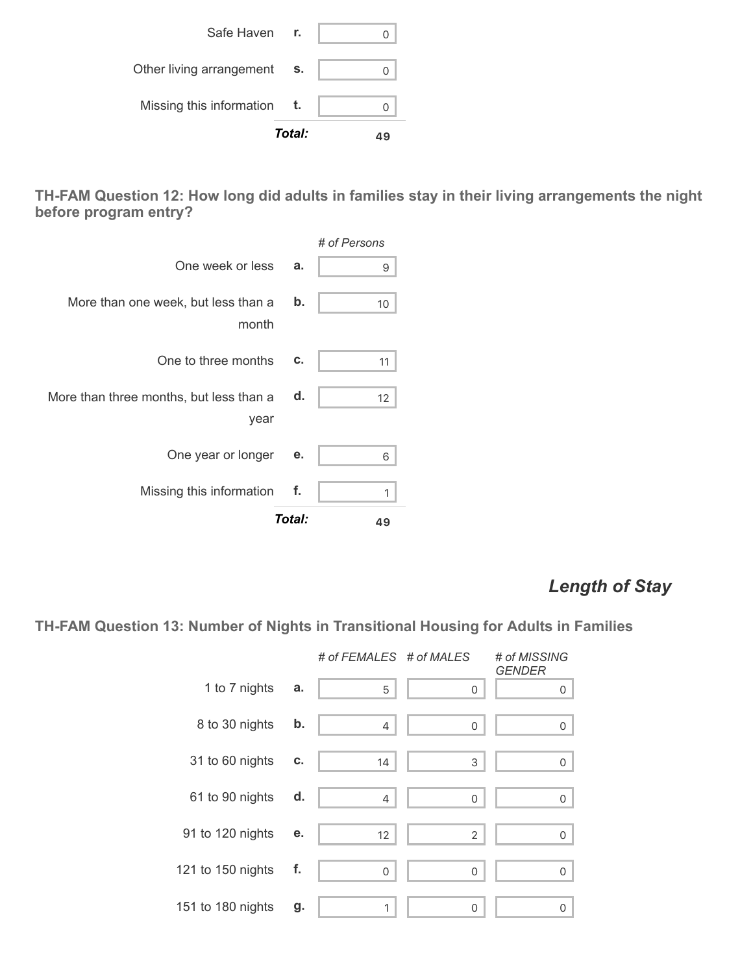|                          | Total: |  |
|--------------------------|--------|--|
| Missing this information | t.     |  |
| Other living arrangement | S.     |  |
| Safe Haven r.            |        |  |

**TH-FAM Question 12: How long did adults in families stay in their living arrangements the night before program entry?**



### *Length of Stay*

**TH-FAM Question 13: Number of Nights in Transitional Housing for Adults in Families**

|                   |    | # of FEMALES # of MALES |              | # of MISSING<br><b>GENDER</b> |
|-------------------|----|-------------------------|--------------|-------------------------------|
| 1 to 7 nights     | a. | 5                       | 0            | 0                             |
| 8 to 30 nights    | b. | 4                       | 0            | 0                             |
| 31 to 60 nights   | C. | 14                      | 3            | 0                             |
| 61 to 90 nights   | d. | 4                       | 0            | 0                             |
| 91 to 120 nights  | е. | 12                      | $\mathbf{2}$ | 0                             |
| 121 to 150 nights | f. | 0                       | 0            | 0                             |
| 151 to 180 nights | g. | 1                       | 0            | 0                             |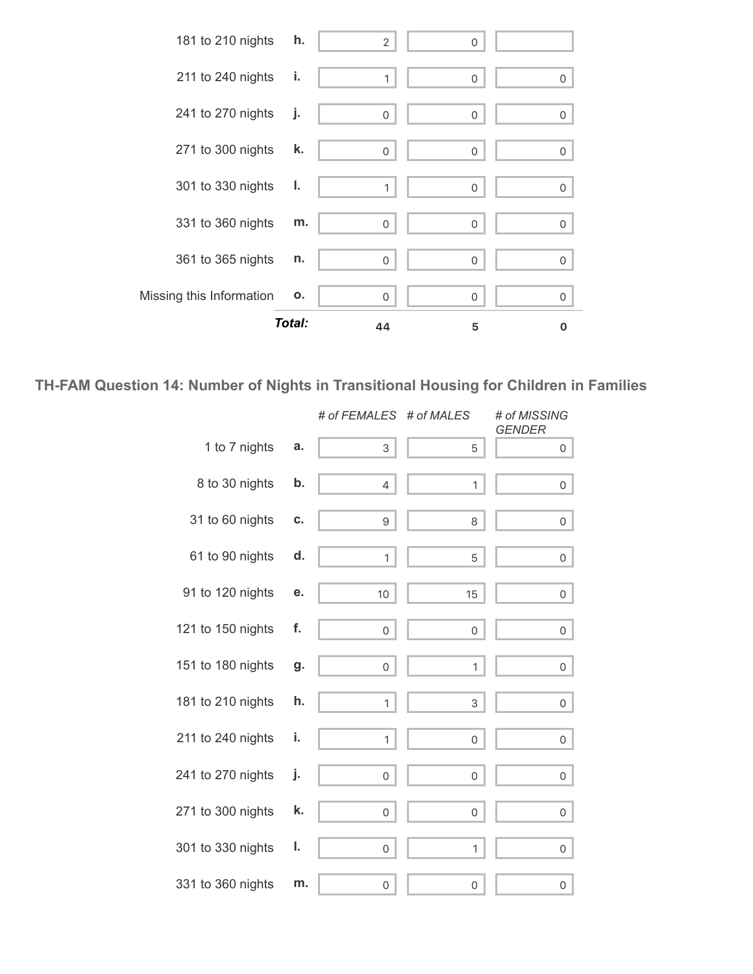

#### **TH-FAM Question 14: Number of Nights in Transitional Housing for Children in Families**

|                   |    | # of FEMALES # of MALES |              | # of MISSING<br><b>GENDER</b> |
|-------------------|----|-------------------------|--------------|-------------------------------|
| 1 to 7 nights     | a. | 3                       | 5            | 0                             |
| 8 to 30 nights    | b. | $\overline{4}$          | 1            | 0                             |
| 31 to 60 nights   | c. | 9                       | 8            | 0                             |
| 61 to 90 nights   | d. | $\mathbf{1}$            | 5            | $\overline{0}$                |
| 91 to 120 nights  | е. | 10                      | 15           | 0                             |
| 121 to 150 nights | f. | $\mathsf{O}$            | 0            | $\mathsf{O}$                  |
| 151 to 180 nights | g. | 0                       | $\mathbf{1}$ | 0                             |
| 181 to 210 nights | h. | 1                       | 3            | $\overline{0}$                |
| 211 to 240 nights | i. | 1                       | 0            | $\overline{O}$                |
| 241 to 270 nights | j. | 0                       | 0            | 0                             |
| 271 to 300 nights | k. | $\mathsf{O}$            | $\mathbf 0$  | $\mathsf{O}$                  |
| 301 to 330 nights | ı. | $\mathsf{O}$            | $\mathbf{1}$ | 0                             |
| 331 to 360 nights | m. | 0                       | 0            | $\mathsf{O}\xspace$           |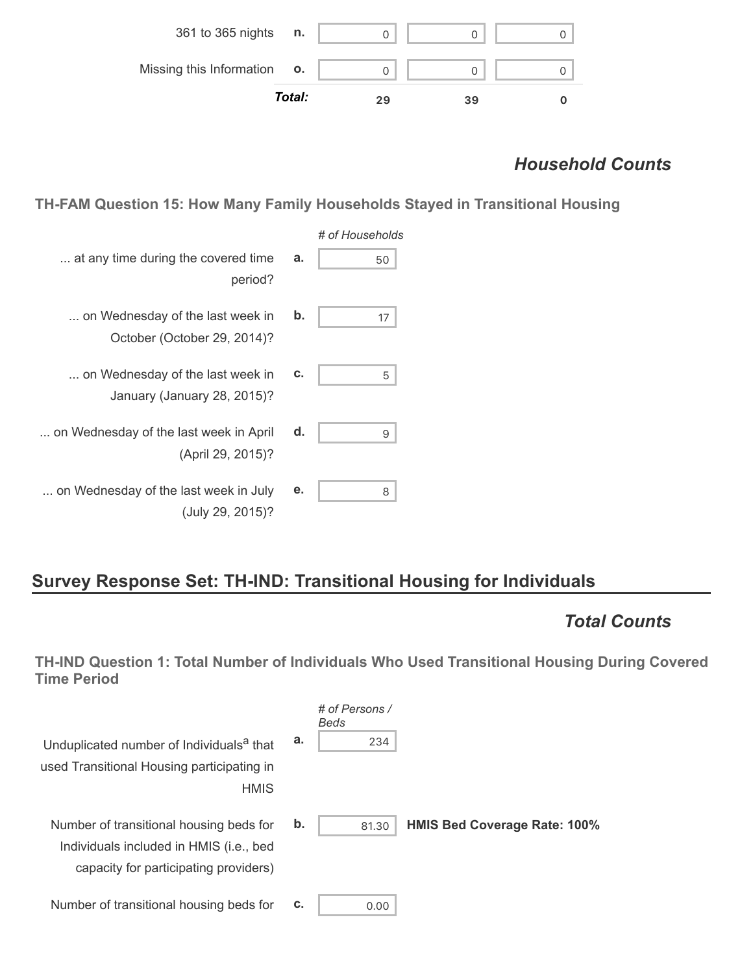

### *Household Counts*

**TH-FAM Question 15: How Many Family Households Stayed in Transitional Housing**

| # of Households |    |                                                                 |
|-----------------|----|-----------------------------------------------------------------|
| 50              | a. | at any time during the covered time<br>period?                  |
| 17              | b. | on Wednesday of the last week in<br>October (October 29, 2014)? |
| 5               | c. | on Wednesday of the last week in<br>January (January 28, 2015)? |
| 9               | d. | on Wednesday of the last week in April<br>(April 29, 2015)?     |
| 8               | е. | on Wednesday of the last week in July<br>(July 29, 2015)?       |

# **Survey Response Set: TH-IND: Transitional Housing for Individuals**

# *Total Counts*

**TH-IND Question 1: Total Number of Individuals Who Used Transitional Housing During Covered Time Period**

| Unduplicated number of Individuals <sup>a</sup> that<br>used Transitional Housing participating in<br><b>HMIS</b>           | а. | $#$ of Persons /<br>Beds<br>234 |                                     |
|-----------------------------------------------------------------------------------------------------------------------------|----|---------------------------------|-------------------------------------|
| Number of transitional housing beds for<br>Individuals included in HMIS (i.e., bed<br>capacity for participating providers) | b. | 81.30                           | <b>HMIS Bed Coverage Rate: 100%</b> |
| Number of transitional housing beds for                                                                                     | c. | 0.00                            |                                     |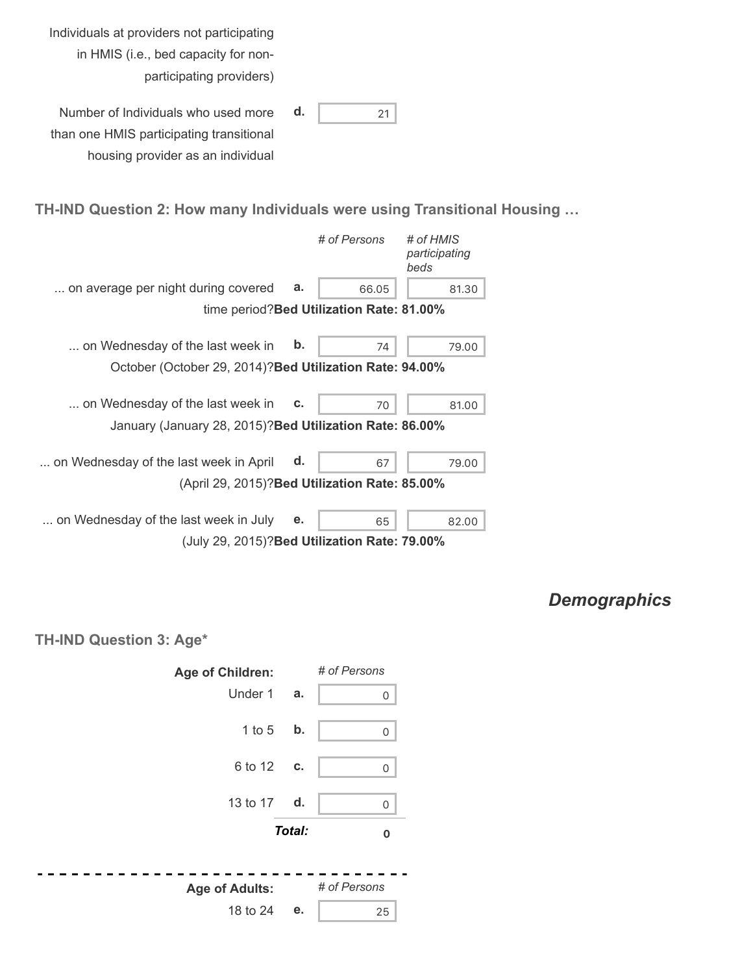| Individuals at providers not participating |  |
|--------------------------------------------|--|
| in HMIS (i.e., bed capacity for non-       |  |
| participating providers)                   |  |

| Number of Individuals who used more      | d. |  |
|------------------------------------------|----|--|
| than one HMIS participating transitional |    |  |
| housing provider as an individual        |    |  |

# **TH-IND Question 2: How many Individuals were using Transitional Housing …**

|                                                          |               | # of Persons                              | # of HMIS<br>participating<br>beds |
|----------------------------------------------------------|---------------|-------------------------------------------|------------------------------------|
| on average per night during covered                      | a.            | 66.05                                     | 81.30                              |
|                                                          |               | time period? Bed Utilization Rate: 81.00% |                                    |
| on Wednesday of the last week in                         | $\mathbf b$ . | 74                                        | 79.00                              |
| October (October 29, 2014)? Bed Utilization Rate: 94.00% |               |                                           |                                    |
| on Wednesday of the last week in                         | c.            | 70                                        | 81.00                              |
| January (January 28, 2015)? Bed Utilization Rate: 86.00% |               |                                           |                                    |
| on Wednesday of the last week in April                   | d.            | 67                                        | 79.00                              |
| (April 29, 2015)? Bed Utilization Rate: 85.00%           |               |                                           |                                    |
| on Wednesday of the last week in July                    | е.            | 65                                        | 82.00                              |
| (July 29, 2015)? Bed Utilization Rate: 79.00%            |               |                                           |                                    |

*Demographics*

**TH-IND Question 3: Age\***

-

| Age of Children:      |        | # of Persons |
|-----------------------|--------|--------------|
| Under 1               | a.     | 0            |
| 1 to 5 b.             |        | $\mathbf 0$  |
| 6 to 12               | C.     | $\mathbf 0$  |
| 13 to 17 d.           |        | $\mathbf 0$  |
|                       | Total: | 0            |
| <b>Age of Adults:</b> |        | # of Persons |
| 18 to 24              | е.     | 25           |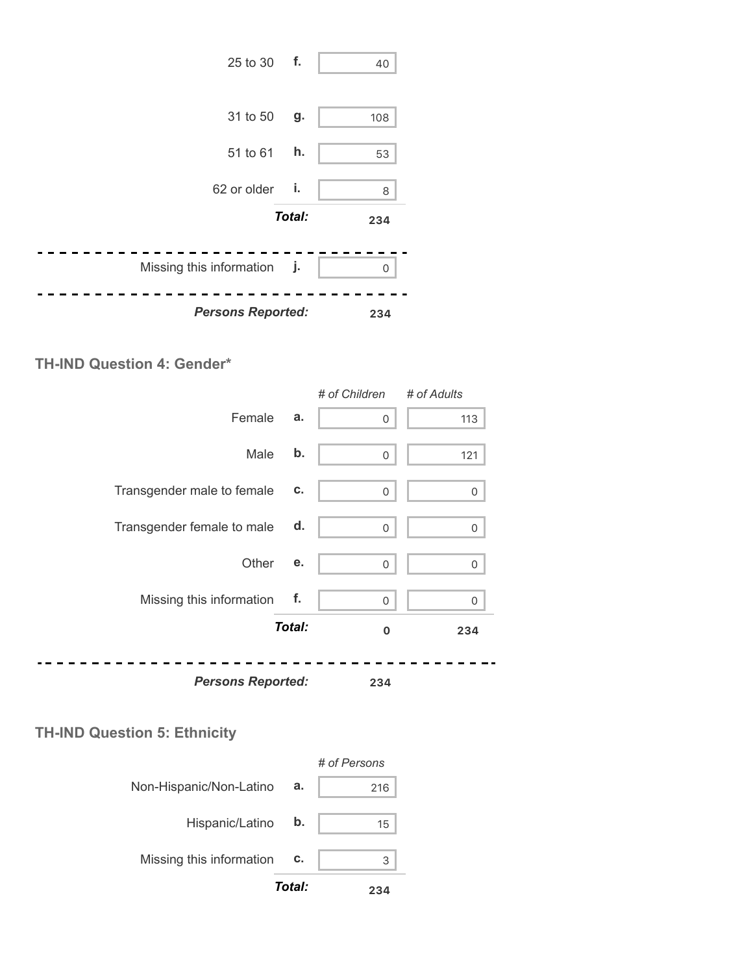

#### **TH-IND Question 4: Gender\***

|                            |        | # of Children | # of Adults |
|----------------------------|--------|---------------|-------------|
| Female                     | a.     | 0             | 113         |
| Male                       | b.     | 0             | 121         |
| Transgender male to female | c.     | 0             | 0           |
| Transgender female to male | d.     | 0             | 0           |
| Other                      | е.     | 0             | $\mathbf 0$ |
| Missing this information   | f.     | 0             | 0           |
|                            | Total: | $\mathbf 0$   | 234         |
| <b>Persons Reported:</b>   |        | 234           |             |

### **TH-IND Question 5: Ethnicity**

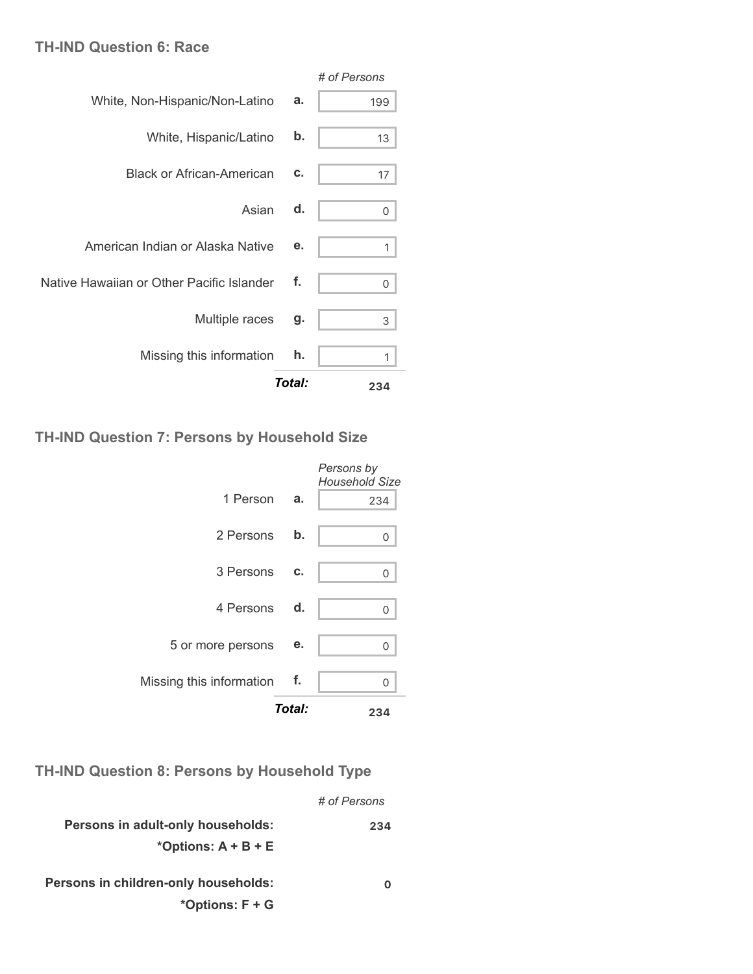#### **TH-IND Question 6: Race**

|                                           |        | # of Persons |
|-------------------------------------------|--------|--------------|
| White, Non-Hispanic/Non-Latino            | a.     | 199          |
| White, Hispanic/Latino                    | b.     | 13           |
| <b>Black or African-American</b>          | c.     | 17           |
| Asian                                     | d.     | 0            |
| American Indian or Alaska Native          | е.     | 1            |
| Native Hawaiian or Other Pacific Islander | f.     | 0            |
| Multiple races                            | g.     | 3            |
| Missing this information                  | h.     | 1            |
|                                           | Total: | 234          |

#### **TH-IND Question 7: Persons by Household Size**

|                             | Total:        | 234                                 |
|-----------------------------|---------------|-------------------------------------|
| Missing this information f. |               | ∩                                   |
| 5 or more persons           | е.            | $\Omega$                            |
| 4 Persons d.                |               | 0                                   |
| 3 Persons                   | C.            | 0                                   |
| 2 Persons                   | $\mathbf b$ . | 0                                   |
| 1 Person a.                 |               | 234                                 |
|                             |               | Persons by<br><b>Household Size</b> |

**TH-IND Question 8: Persons by Household Type**

|                                      | # of Persons |
|--------------------------------------|--------------|
| Persons in adult-only households:    | 234          |
| *Options: $A + B + E$                |              |
| Persons in children-only households: |              |

**\*Options: F + G**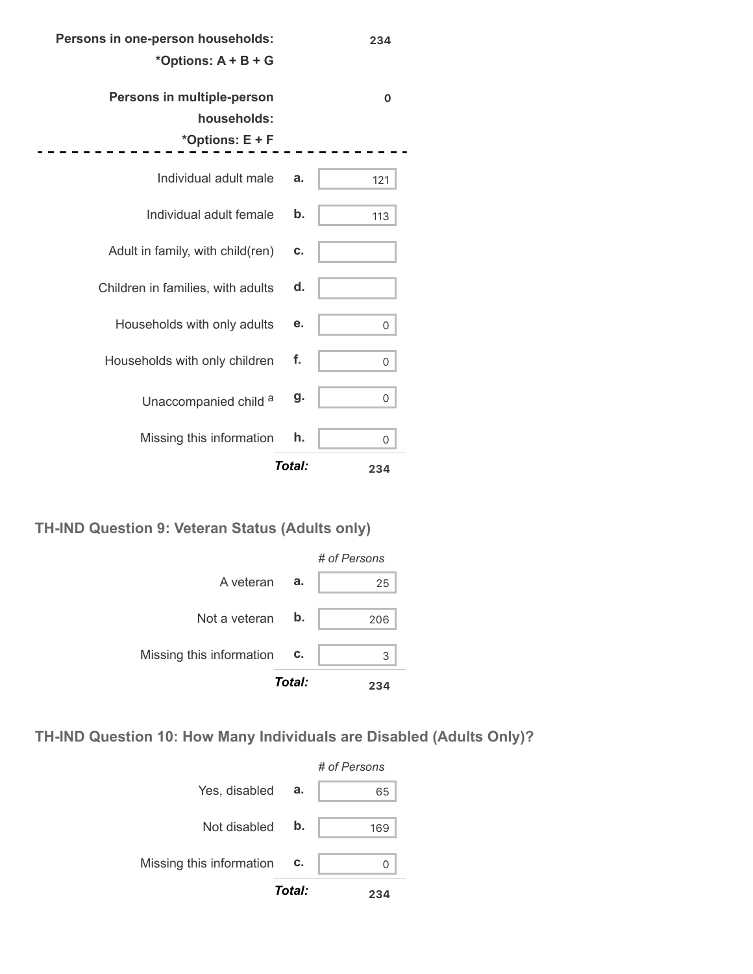#### **Persons in one-person households:**

#### **\*Options: A + B + G**

**234**

| Persons in multiple-person        |        | O   |
|-----------------------------------|--------|-----|
| households:                       |        |     |
| *Options: E + F                   |        |     |
| Individual adult male             | a.     | 121 |
| Individual adult female           | b.     | 113 |
| Adult in family, with child(ren)  | c.     |     |
| Children in families, with adults | d.     |     |
| Households with only adults       | е.     | 0   |
| Households with only children     | f.     | 0   |
| Unaccompanied child a             | g.     | 0   |
| Missing this information          | h.     | 0   |
|                                   | Total: | 234 |

**TH-IND Question 9: Veteran Status (Adults only)**



**TH-IND Question 10: How Many Individuals are Disabled (Adults Only)?**

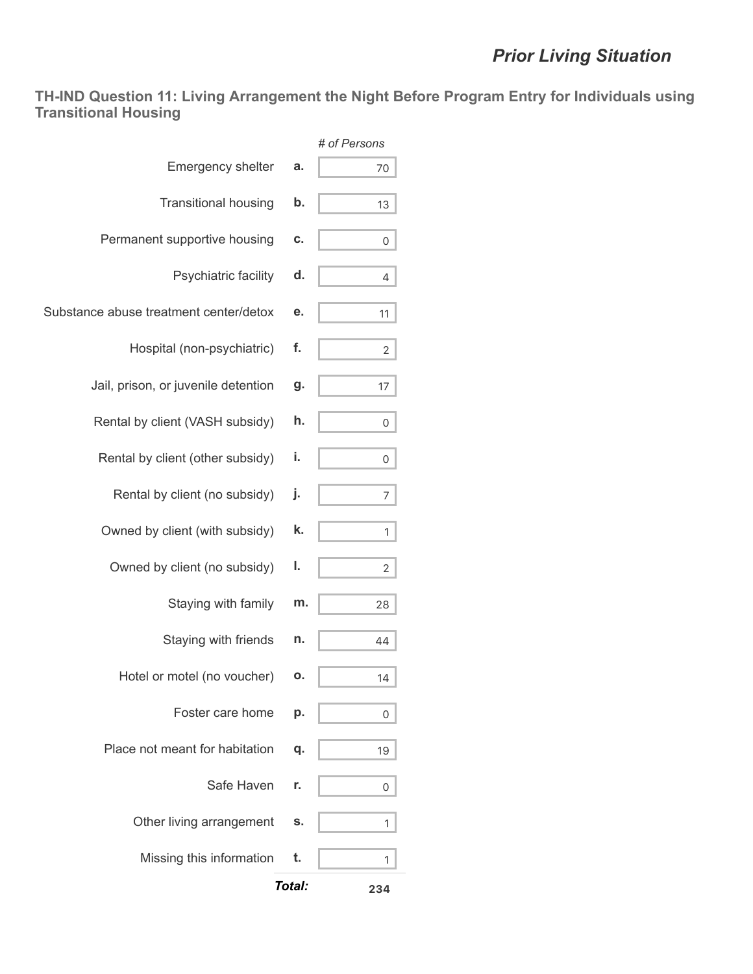**TH-IND Question 11: Living Arrangement the Night Before Program Entry for Individuals using Transitional Housing**

|                                        |        | # of Persons   |
|----------------------------------------|--------|----------------|
| <b>Emergency shelter</b>               | a.     | 70             |
| <b>Transitional housing</b>            | b.     | 13             |
| Permanent supportive housing           | C.     | 0              |
| Psychiatric facility                   | d.     | 4              |
| Substance abuse treatment center/detox | е.     | 11             |
| Hospital (non-psychiatric)             | f.     | $\overline{2}$ |
| Jail, prison, or juvenile detention    | g.     | 17             |
| Rental by client (VASH subsidy)        | h.     | 0              |
| Rental by client (other subsidy)       | i.     | 0              |
| Rental by client (no subsidy)          | j.     | 7              |
| Owned by client (with subsidy)         | k.     | 1              |
| Owned by client (no subsidy)           | ı.     | 2              |
| Staying with family                    | m.     | 28             |
| Staying with friends                   | n.     | 44             |
| Hotel or motel (no voucher)            | ο.     | 14             |
| Foster care home                       | р.     | 0              |
| Place not meant for habitation         | q.     | 19             |
| Safe Haven                             | r.     | 0              |
| Other living arrangement               | s.     | 1              |
| Missing this information               | t.     | 1              |
|                                        | Total: | 234            |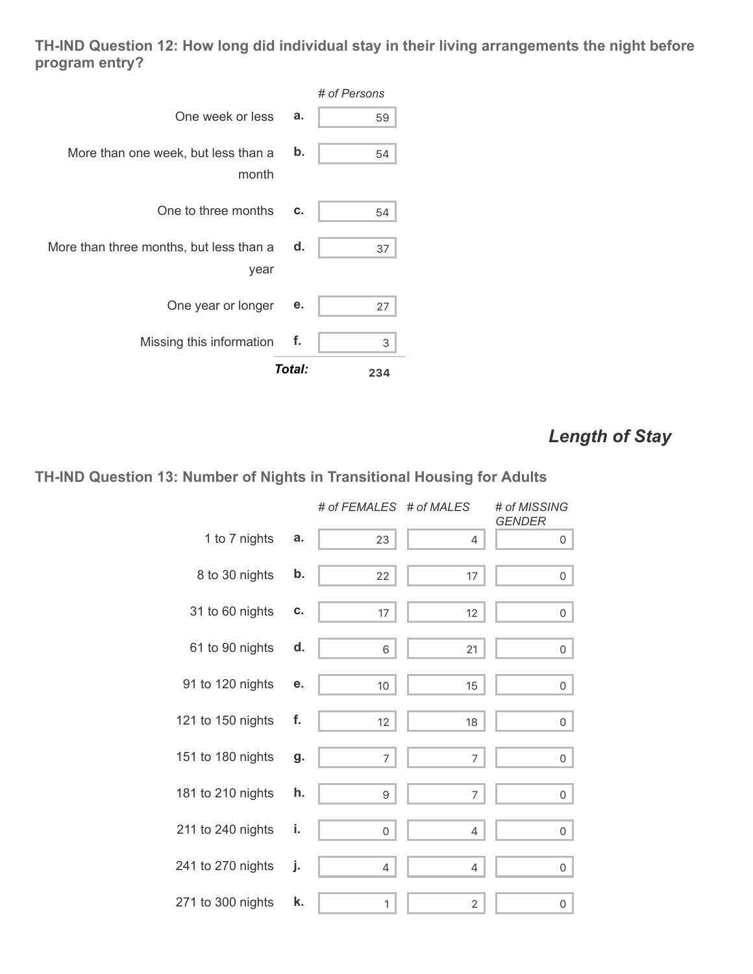**TH-IND Question 12: How long did individual stay in their living arrangements the night before program entry?**

|                                                 |        | # of Persons |
|-------------------------------------------------|--------|--------------|
| One week or less                                | a.     | 59           |
| More than one week, but less than a<br>month    | b.     | 54           |
| One to three months                             | C.     | 54           |
| More than three months, but less than a<br>year | d.     | 37           |
| One year or longer                              | е.     | 27           |
| Missing this information                        | f.     | 3            |
|                                                 | Total: | 234          |

# *Length of Stay*

### **TH-IND Question 13: Number of Nights in Transitional Housing for Adults**

|                   |    | # of FEMALES # of MALES |                | # of MISSING<br><b>GENDER</b> |
|-------------------|----|-------------------------|----------------|-------------------------------|
| 1 to 7 nights     | a. | 23                      | 4              | $\overline{0}$                |
| 8 to 30 nights    | b. | 22                      | 17             | 0                             |
| 31 to 60 nights   | C. | 17                      | 12             | $\mathsf{O}$                  |
| 61 to 90 nights   | d. | 6                       | 21             | 0                             |
| 91 to 120 nights  | е. | 10 <sup>°</sup>         | 15             | $\overline{0}$                |
| 121 to 150 nights | f. | 12                      | 18             | $\overline{0}$                |
| 151 to 180 nights | g. | 7                       | $\overline{7}$ | $\mathsf{O}$                  |
| 181 to 210 nights | h. | 9                       | 7              | 0                             |
| 211 to 240 nights | i. | 0                       | 4              | 0                             |
| 241 to 270 nights | j. | 4                       | 4              | 0                             |
| 271 to 300 nights | k. | 1                       | $\mathbf{2}$   | 0                             |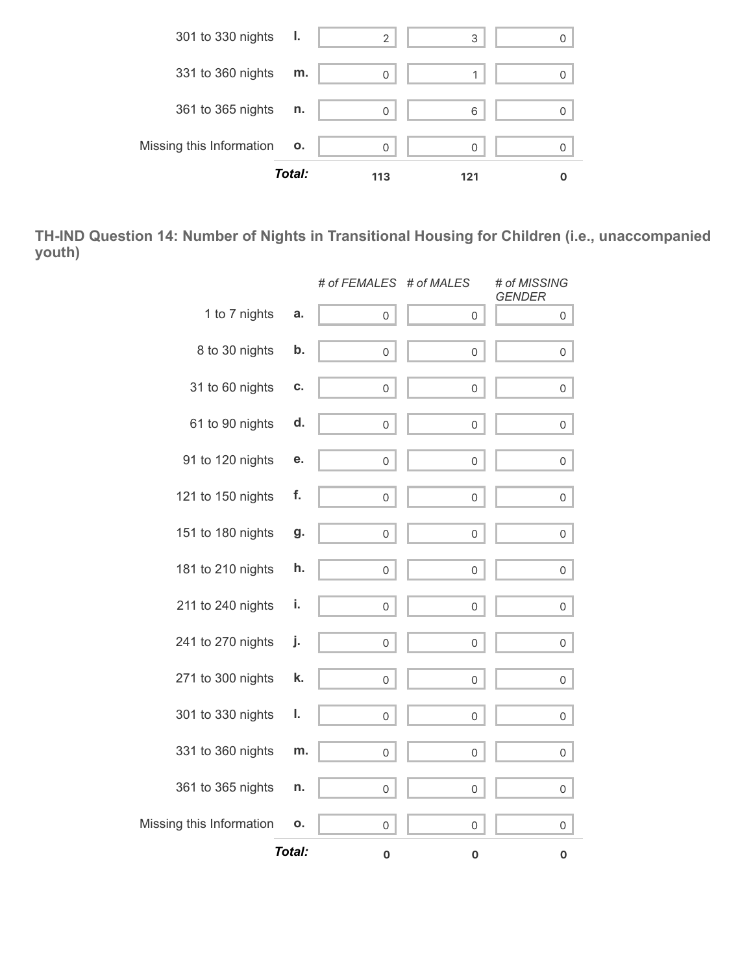

**TH-IND Question 14: Number of Nights in Transitional Housing for Children (i.e., unaccompanied youth)**

|                          |        | # of FEMALES # of MALES |                     | # of MISSING<br><b>GENDER</b> |
|--------------------------|--------|-------------------------|---------------------|-------------------------------|
| 1 to 7 nights            | a.     | 0                       | 0                   | 0                             |
| 8 to 30 nights           | b.     | $\mathsf{O}\xspace$     | $\mathsf{O}\xspace$ | 0                             |
| 31 to 60 nights          | C.     | 0                       | 0                   | 0                             |
| 61 to 90 nights          | d.     | 0                       | 0                   | 0                             |
| 91 to 120 nights         | е.     | 0                       | $\mathbf 0$         | 0                             |
| 121 to 150 nights        | f.     | 0                       | $\mathsf{O}\xspace$ | 0                             |
| 151 to 180 nights        | g.     | 0                       | 0                   | 0                             |
| 181 to 210 nights        | h.     | $\mathsf{O}\xspace$     | $\mathbf 0$         | 0                             |
| 211 to 240 nights        | i.     | $\mathsf{O}\xspace$     | $\mathsf{O}\xspace$ | 0                             |
| 241 to 270 nights        | j.     | 0                       | 0                   | 0                             |
| 271 to 300 nights        | k.     | $\mathsf{O}\xspace$     | $\mathbf 0$         | 0                             |
| 301 to 330 nights        | ı.     | $\mathsf{O}\xspace$     | $\mathsf{O}\xspace$ | 0                             |
| 331 to 360 nights        | m.     | 0                       | 0                   | 0                             |
| 361 to 365 nights        | n.     | 0                       | 0                   | 0                             |
| Missing this Information | ο.     | 0                       | 0                   | 0                             |
|                          | Total: | $\mathbf 0$             | $\mathbf 0$         | $\pmb{0}$                     |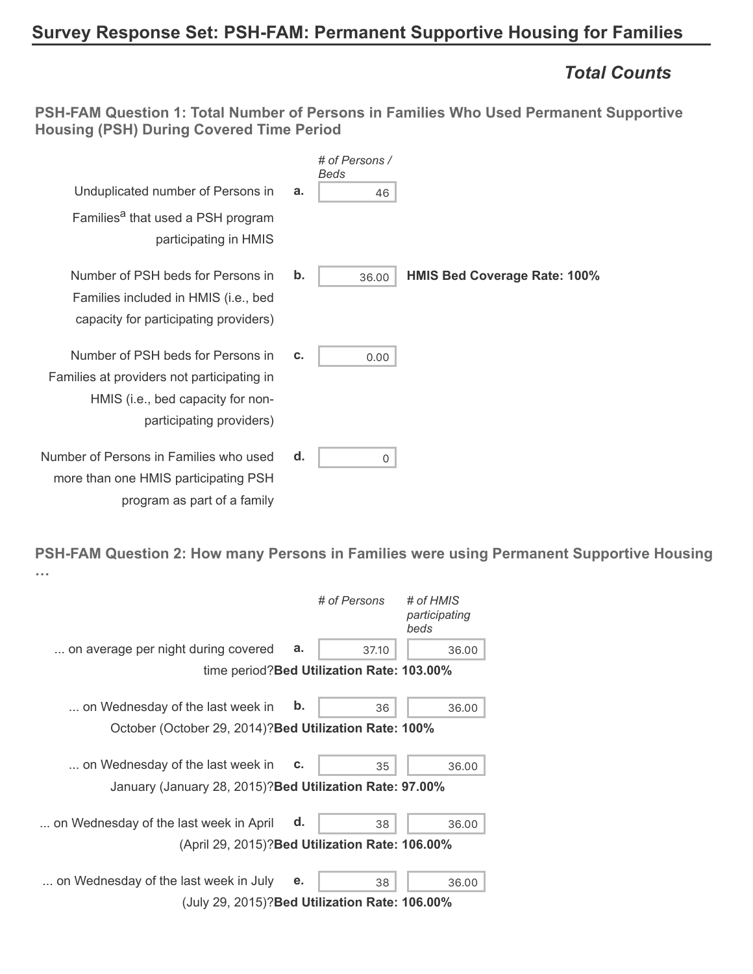# **Survey Response Set: PSH-FAM: Permanent Supportive Housing for Families**

### *Total Counts*

**PSH-FAM Question 1: Total Number of Persons in Families Who Used Permanent Supportive Housing (PSH) During Covered Time Period**

| # of Persons /<br>Beds                                                                                                                                         |                                     |
|----------------------------------------------------------------------------------------------------------------------------------------------------------------|-------------------------------------|
| Unduplicated number of Persons in<br>a.<br>46                                                                                                                  |                                     |
| Families <sup>a</sup> that used a PSH program<br>participating in HMIS                                                                                         |                                     |
| b.<br>Number of PSH beds for Persons in<br>36.00<br>Families included in HMIS (i.e., bed<br>capacity for participating providers)                              | <b>HMIS Bed Coverage Rate: 100%</b> |
| Number of PSH beds for Persons in<br>C.<br>0.00<br>Families at providers not participating in<br>HMIS (i.e., bed capacity for non-<br>participating providers) |                                     |
| Number of Persons in Families who used<br>d.<br><sup>0</sup><br>more than one HMIS participating PSH<br>program as part of a family                            |                                     |

**PSH-FAM Question 2: How many Persons in Families were using Permanent Supportive Housing …**

|                                                          |               | # of Persons                               | # of HMIS<br>participating<br>beds |
|----------------------------------------------------------|---------------|--------------------------------------------|------------------------------------|
| on average per night during covered                      | a.            | 37.10                                      | 36.00                              |
|                                                          |               | time period? Bed Utilization Rate: 103.00% |                                    |
| on Wednesday of the last week in                         | $\mathbf b$ . | 36                                         | 36.00                              |
| October (October 29, 2014)? Bed Utilization Rate: 100%   |               |                                            |                                    |
| on Wednesday of the last week in                         | c.            | 35                                         | 36.00                              |
| January (January 28, 2015)? Bed Utilization Rate: 97.00% |               |                                            |                                    |
| on Wednesday of the last week in April                   | d.            | 38                                         | 36.00                              |
| (April 29, 2015)? Bed Utilization Rate: 106.00%          |               |                                            |                                    |
| on Wednesday of the last week in July                    | е.            | 38                                         | 36.00                              |
| (July 29, 2015)? Bed Utilization Rate: 106.00%           |               |                                            |                                    |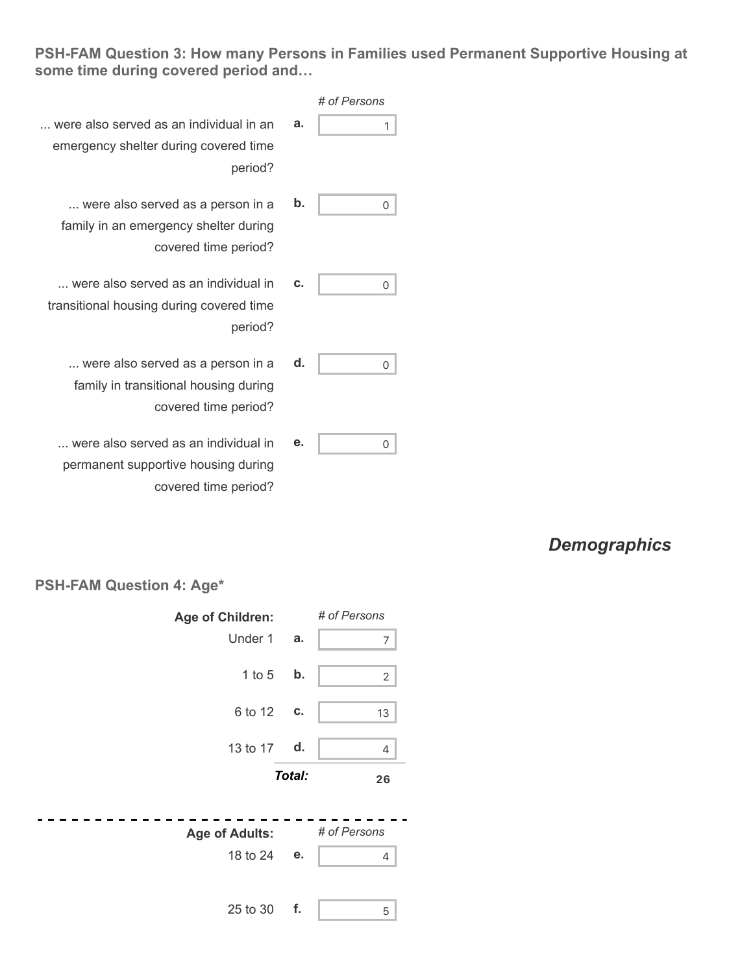#### **PSH-FAM Question 3: How many Persons in Families used Permanent Supportive Housing at some time during covered period and…**

|                                          |    | # of Persons |
|------------------------------------------|----|--------------|
| were also served as an individual in an  | а. |              |
| emergency shelter during covered time    |    |              |
| period?                                  |    |              |
| were also served as a person in a        | b. |              |
| family in an emergency shelter during    |    |              |
| covered time period?                     |    |              |
| were also served as an individual in     | C. |              |
| transitional housing during covered time |    |              |
| period?                                  |    |              |
| were also served as a person in a        | d. | U            |
| family in transitional housing during    |    |              |
|                                          |    |              |

**e.** 0

- ... were also served as family in an emergency covered
- ... were also served as a transitional housing during
	- ... were also served as family in transitional h covered time period?
	- ... were also served as an individual in permanent supportive housing during covered time period?

### *Demographics*

#### **PSH-FAM Question 4: Age\***

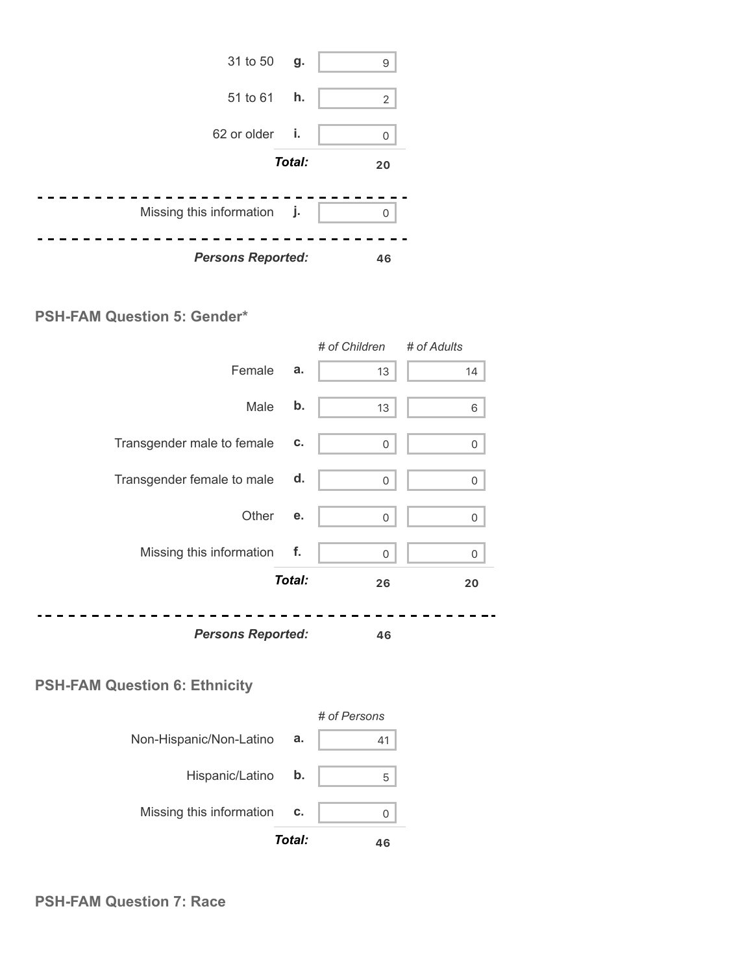

#### **PSH-FAM Question 5: Gender\***



#### **PSH-FAM Question 6: Ethnicity**

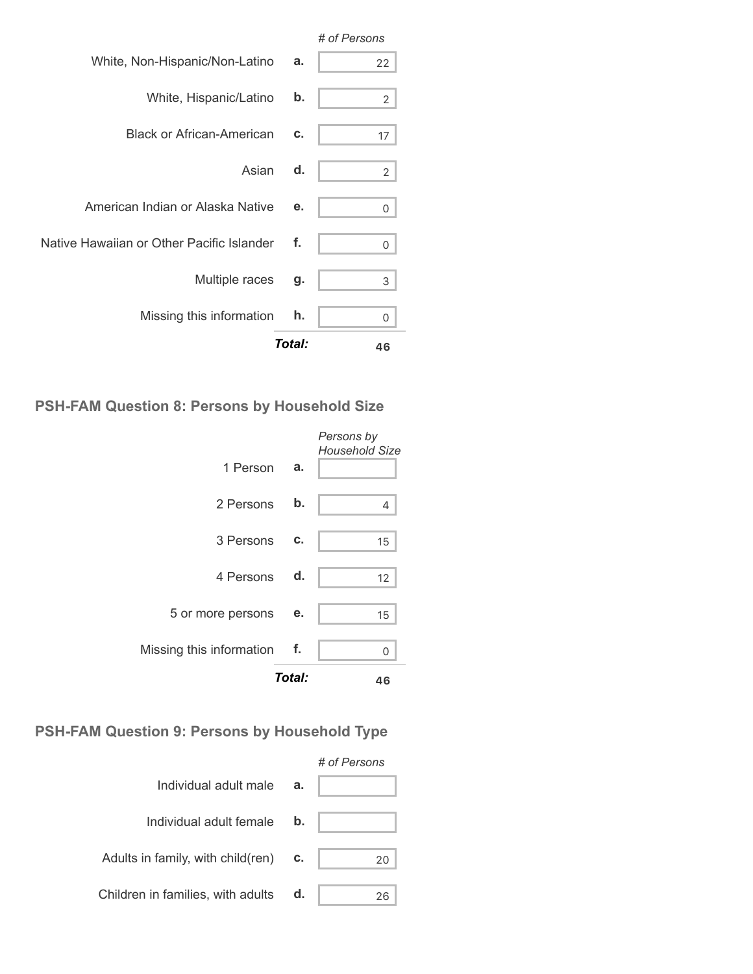|                                           |        | # of Persons   |
|-------------------------------------------|--------|----------------|
| White, Non-Hispanic/Non-Latino            | a.     | 22             |
| White, Hispanic/Latino                    | b.     | 2              |
| <b>Black or African-American</b>          | c.     | 17             |
| Asian                                     | d.     | $\overline{2}$ |
| American Indian or Alaska Native          | е.     | 0              |
| Native Hawaiian or Other Pacific Islander | f.     | 0              |
| Multiple races                            | g.     | 3              |
| Missing this information                  | h.     | $\Omega$       |
|                                           | Total: | 46             |

## **PSH-FAM Question 8: Persons by Household Size**

|                          | Total: | 46                                  |
|--------------------------|--------|-------------------------------------|
| Missing this information | - f.   | 0                                   |
| 5 or more persons        | е.     | 15                                  |
| 4 Persons d.             |        | 12                                  |
| 3 Persons                | c.     | 15                                  |
| 2 Persons                | b.     | 4                                   |
| 1 Person                 | а.     | Persons by<br><b>Household Size</b> |

## **PSH-FAM Question 9: Persons by Household Type**

|                                            |    | # of Persons |
|--------------------------------------------|----|--------------|
| Individual adult male                      | a. |              |
| Individual adult female                    | b. |              |
| Adults in family, with child(ren) $\cdots$ |    | 20           |
| Children in families, with adults          | d. | 26           |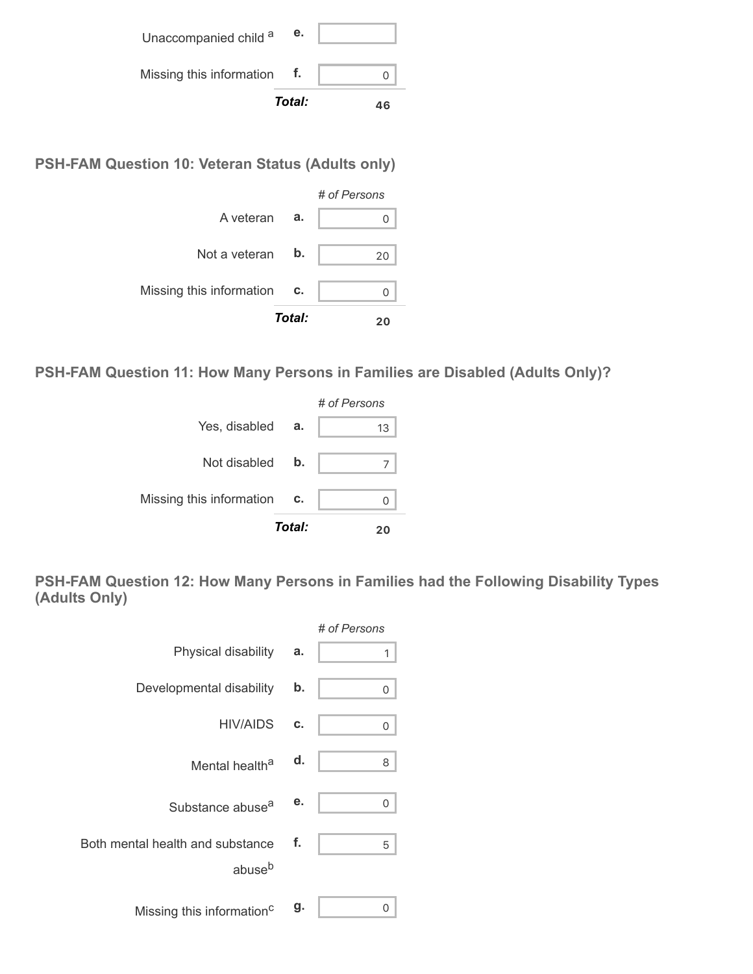|                          | Total: | 46 |
|--------------------------|--------|----|
| Missing this information |        |    |
| Unaccompanied child a    | е.     |    |

**PSH-FAM Question 10: Veteran Status (Adults only)**



**PSH-FAM Question 11: How Many Persons in Families are Disabled (Adults Only)?**



**PSH-FAM Question 12: How Many Persons in Families had the Following Disability Types (Adults Only)**

|                                                        |    | # of Persons |
|--------------------------------------------------------|----|--------------|
| Physical disability                                    | a. | 1            |
| Developmental disability                               | b. | 0            |
| HIV/AIDS                                               | C. | 0            |
| Mental health <sup>a</sup>                             | d. | 8            |
| Substance abuse <sup>a</sup>                           | е. | 0            |
| Both mental health and substance<br>abuse <sup>b</sup> | f. | 5            |
| Missing this information <sup>c</sup>                  | g. | ი            |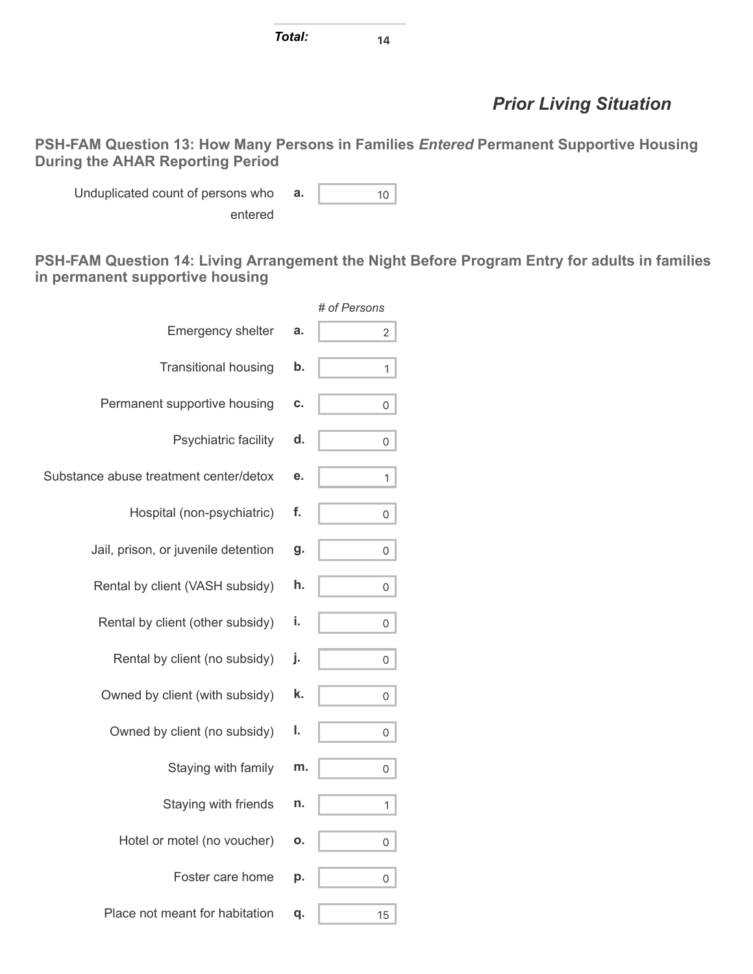*Total:* **<sup>14</sup>**

## *Prior Living Situation*

**PSH-FAM Question 13: How Many Persons in Families** *Entered* **Permanent Supportive Housing During the AHAR Reporting Period**

Unduplicated count of persons who entered **a.**  $\begin{array}{ccc} 10 & 10 \\ 1 & 10 \end{array}$ 

**PSH-FAM Question 14: Living Arrangement the Night Before Program Entry for adults in families in permanent supportive housing**

|                                        |    | # of Persons |
|----------------------------------------|----|--------------|
| <b>Emergency shelter</b>               | a. | 2            |
| <b>Transitional housing</b>            | b. | 1            |
| Permanent supportive housing           | C. | 0            |
| Psychiatric facility                   | d. | 0            |
| Substance abuse treatment center/detox | е. | 1            |
| Hospital (non-psychiatric)             | f. | 0            |
| Jail, prison, or juvenile detention    | g. | 0            |
| Rental by client (VASH subsidy)        | h. | 0            |
| Rental by client (other subsidy)       | i. | 0            |
| Rental by client (no subsidy)          | j. | 0            |
| Owned by client (with subsidy)         | k. | 0            |
| Owned by client (no subsidy)           | ı. | 0            |
| Staying with family                    | m. | 0            |
| Staying with friends                   | n. | 1            |
| Hotel or motel (no voucher)            | ο. | 0            |
| Foster care home                       | p. | 0            |
| Place not meant for habitation         | q. | 15           |
|                                        |    |              |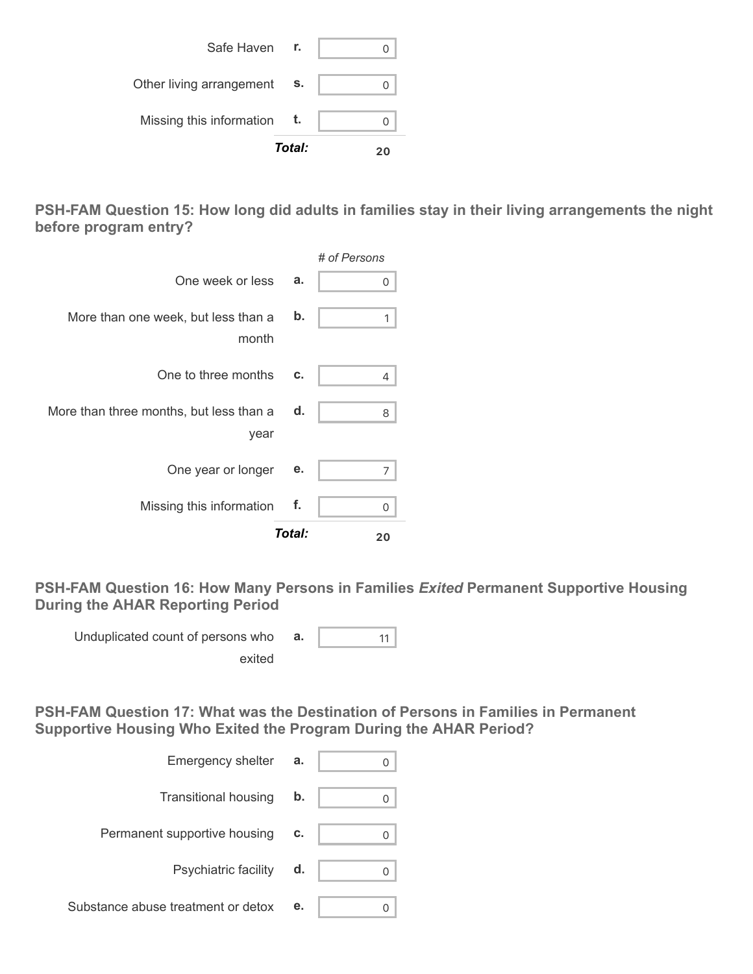|                          | Total: |  |
|--------------------------|--------|--|
| Missing this information | t.     |  |
| Other living arrangement | S.     |  |
| Safe Haven r.            |        |  |

**PSH-FAM Question 15: How long did adults in families stay in their living arrangements the night before program entry?**

|                                                 |        | # of Persons |
|-------------------------------------------------|--------|--------------|
| One week or less                                | a.     | Ω            |
| More than one week, but less than a<br>month    | b.     | 1            |
| One to three months                             | c.     | 4            |
| More than three months, but less than a<br>year | d.     | 8            |
| One year or longer                              | е.     | 7            |
| Missing this information                        | f.     | 0            |
|                                                 | Total: | 20           |

**PSH-FAM Question 16: How Many Persons in Families** *Exited* **Permanent Supportive Housing During the AHAR Reporting Period**

Unduplicated count of persons who **a.**  $\begin{bmatrix} 1 & 1 \\ 1 & 1 \end{bmatrix}$ exited

**PSH-FAM Question 17: What was the Destination of Persons in Families in Permanent Supportive Housing Who Exited the Program During the AHAR Period?**

| Emergency shelter                  | a. |  |
|------------------------------------|----|--|
| <b>Transitional housing</b>        | b. |  |
| Permanent supportive housing       | c. |  |
| Psychiatric facility               | d. |  |
| Substance abuse treatment or detox | е. |  |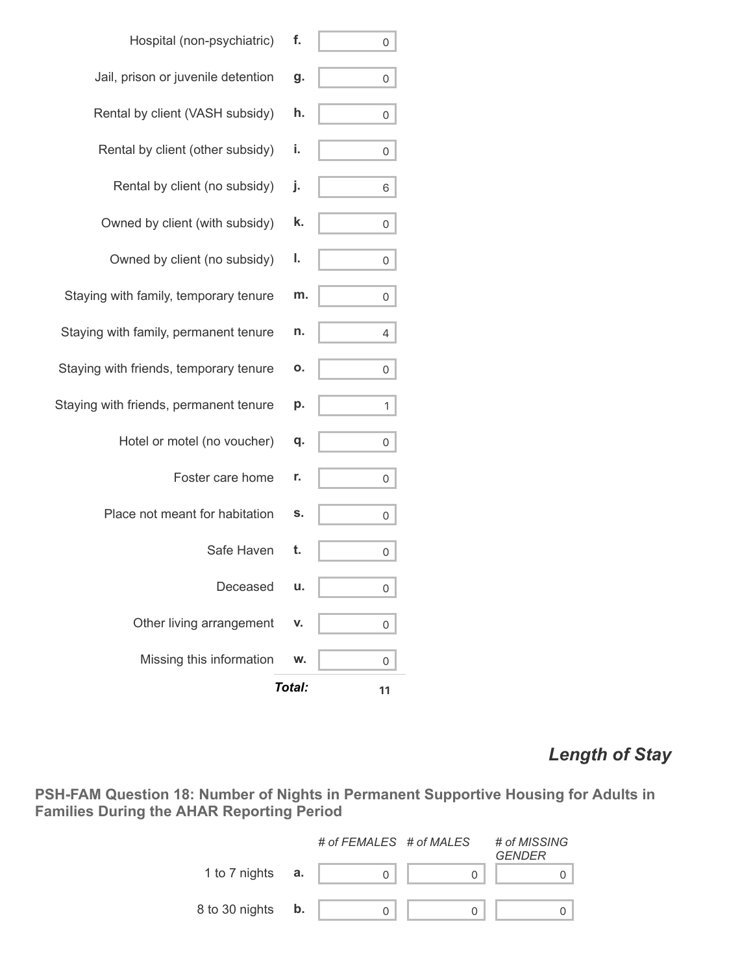|                                        | Total: | 11 |
|----------------------------------------|--------|----|
| Missing this information               | w.     | 0  |
| Other living arrangement               | V.     | 0  |
| Deceased                               | u.     | 0  |
| Safe Haven                             | t.     | 0  |
| Place not meant for habitation         | s.     | 0  |
| Foster care home                       | r.     | 0  |
| Hotel or motel (no voucher)            | q.     | 0  |
| Staying with friends, permanent tenure | p.     | 1  |
| Staying with friends, temporary tenure | Ο.     | 0  |
| Staying with family, permanent tenure  | n.     | 4  |
| Staying with family, temporary tenure  | m.     | 0  |
| Owned by client (no subsidy)           | ı.     | 0  |
| Owned by client (with subsidy)         | k.     | 0  |
| Rental by client (no subsidy)          | j.     | 6  |
| Rental by client (other subsidy)       | i.     | 0  |
| Rental by client (VASH subsidy)        | h.     | 0  |
| Jail, prison or juvenile detention     | g.     | 0  |
| Hospital (non-psychiatric)             | f.     | 0  |

### *Length of Stay*

**PSH-FAM Question 18: Number of Nights in Permanent Supportive Housing for Adults in Families During the AHAR Reporting Period**

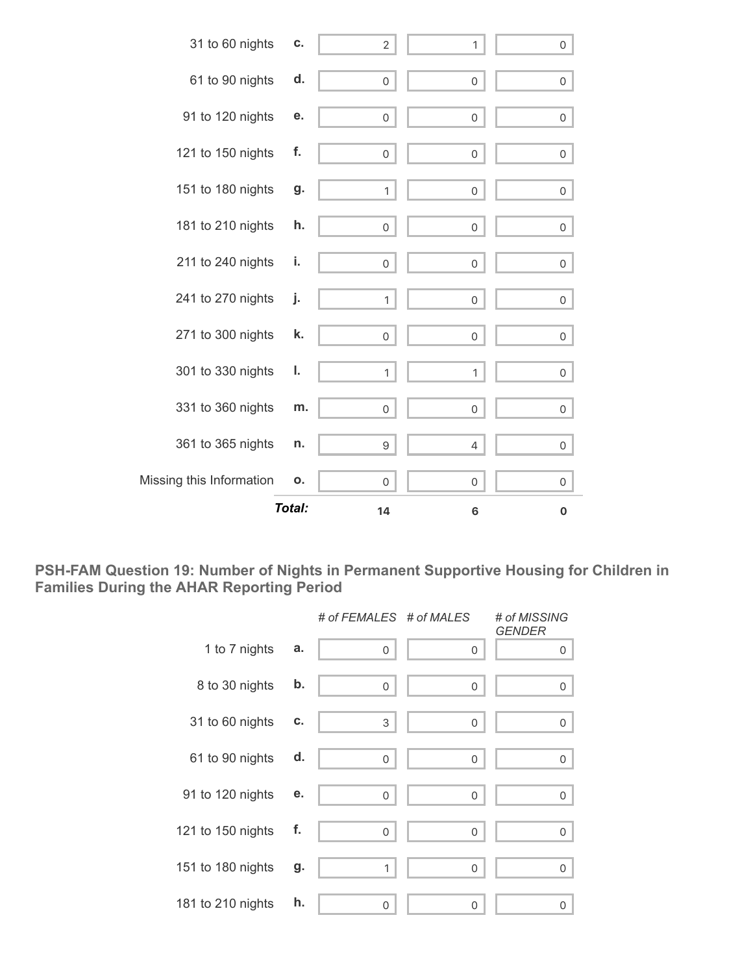

**PSH-FAM Question 19: Number of Nights in Permanent Supportive Housing for Children in Families During the AHAR Reporting Period**

|                   |    | # of FEMALES # of MALES |          | # of MISSING<br><b>GENDER</b> |
|-------------------|----|-------------------------|----------|-------------------------------|
| 1 to 7 nights     | a. | $\mathbf 0$             | 0        | 0                             |
| 8 to 30 nights    | b. | 0                       | 0        | $\mathsf{O}\xspace$           |
| 31 to 60 nights   | С. | 3                       | 0        | 0                             |
| 61 to 90 nights   | d. | $\mathbf 0$             | 0        | 0                             |
| 91 to 120 nights  | е. | $\mathbf 0$             | 0        | 0                             |
| 121 to 150 nights | f. | 0                       | 0        | 0                             |
| 151 to 180 nights | g. | 1                       | $\Omega$ | 0                             |
| 181 to 210 nights | h. | 0                       | 0        | 0                             |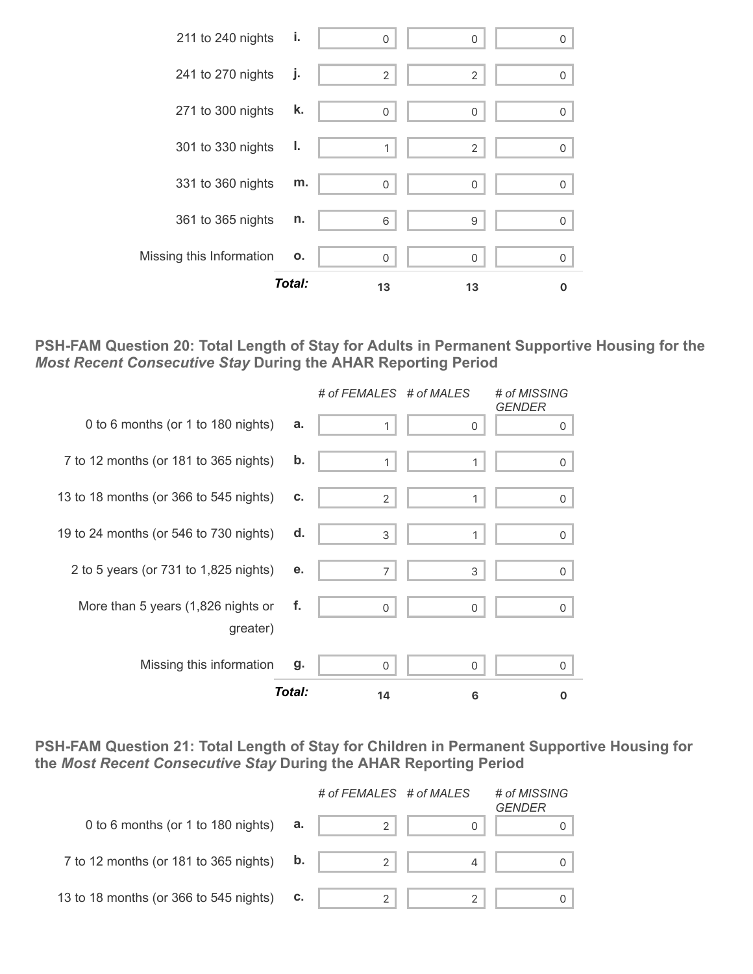

**PSH-FAM Question 20: Total Length of Stay for Adults in Permanent Supportive Housing for the** *Most Recent Consecutive Stay* **During the AHAR Reporting Period**



**PSH-FAM Question 21: Total Length of Stay for Children in Permanent Supportive Housing for the** *Most Recent Consecutive Stay* **During the AHAR Reporting Period**

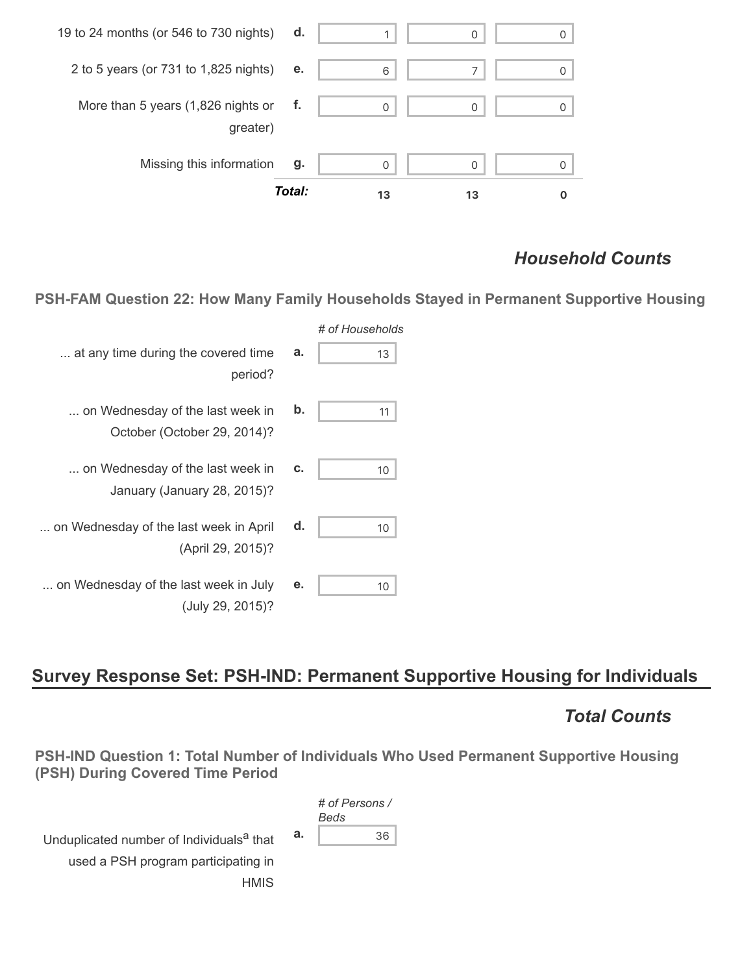

### *Household Counts*

**PSH-FAM Question 22: How Many Family Households Stayed in Permanent Supportive Housing**

| # of Households |                                                                 |
|-----------------|-----------------------------------------------------------------|
| a.<br>13        | at any time during the covered time<br>period?                  |
| b.<br>11        | on Wednesday of the last week in<br>October (October 29, 2014)? |
| c.<br>10        | on Wednesday of the last week in<br>January (January 28, 2015)? |
| d.<br>10        | on Wednesday of the last week in April<br>(April 29, 2015)?     |
| е.<br>10        | on Wednesday of the last week in July<br>(July 29, 2015)?       |

# **Survey Response Set: PSH-IND: Permanent Supportive Housing for Individuals**

### *Total Counts*

**PSH-IND Question 1: Total Number of Individuals Who Used Permanent Supportive Housing (PSH) During Covered Time Period**

Unduplicated number of Individuals<sup>a</sup> that used a PSH program participating in **HMIS** 

*# of Persons / Beds* **a.** 36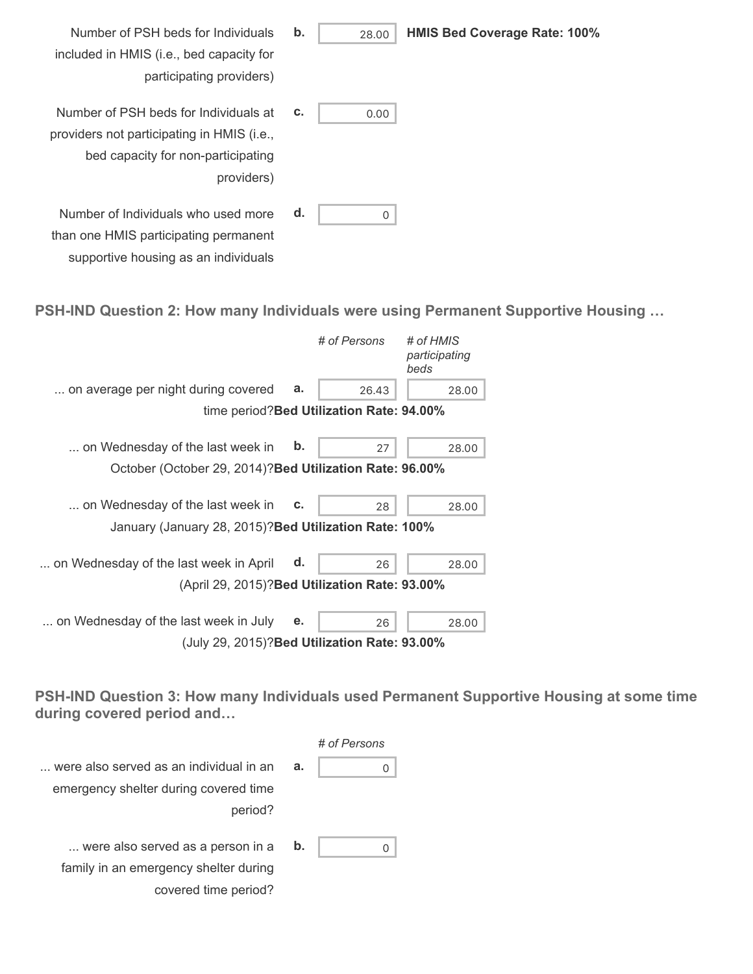- Number of PSH beds for Individuals included in HMIS (i.e., bed capacity for participating providers) **b.** 28.00 **HMIS Bed Coverage Rate: 100%** Number of PSH beds for Individuals at providers not participating in HMIS (i.e., bed capacity for non-participating providers) **c.**  $\begin{bmatrix} 0.00 \end{bmatrix}$ **d.** 0
- **PSH-IND Question 2: How many Individuals were using Permanent Supportive Housing …**

|                                                          |    | # of Persons                              | # of HMIS<br>participating<br>beds |
|----------------------------------------------------------|----|-------------------------------------------|------------------------------------|
| on average per night during covered                      | a. | 26.43                                     | 28.00                              |
|                                                          |    | time period? Bed Utilization Rate: 94.00% |                                    |
| on Wednesday of the last week in                         | b. | 27                                        | 28.00                              |
| October (October 29, 2014)? Bed Utilization Rate: 96.00% |    |                                           |                                    |
| on Wednesday of the last week in                         | c. | 28                                        | 28.00                              |
| January (January 28, 2015)? Bed Utilization Rate: 100%   |    |                                           |                                    |
| on Wednesday of the last week in April                   | d. | 26                                        | 28.00                              |
| (April 29, 2015)? Bed Utilization Rate: 93.00%           |    |                                           |                                    |
| on Wednesday of the last week in July                    | е. | 26                                        | 28.00                              |
| (July 29, 2015)? Bed Utilization Rate: 93.00%            |    |                                           |                                    |

Number of Individuals who used more than one HMIS participating permanent supportive housing as an individuals

**PSH-IND Question 3: How many Individuals used Permanent Supportive Housing at some time during covered period and…**

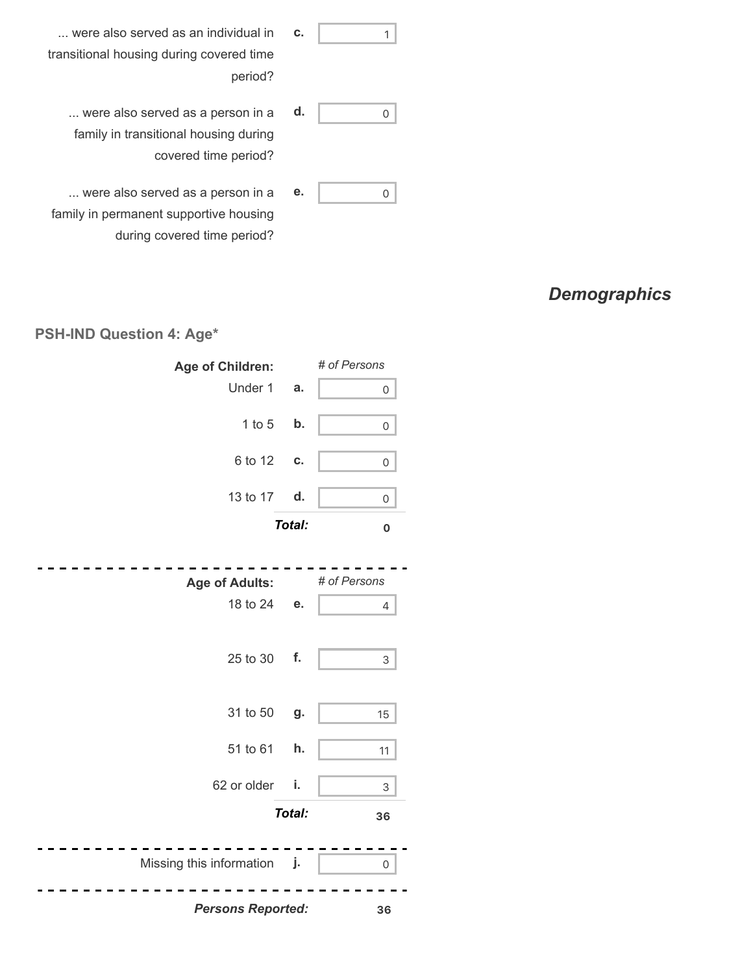... were also served as an individual in transitional housing during covered time period? **c.** 1 ... were also served as a person in a **e.** 0 ... were also served as a person in a family in transitional housing during covered time period? **d.** 0

## *Demographics*

#### **PSH-IND Question 4: Age\***

family in permanent supportive housing

during covered time period?

| Age of Children:                  |               | # of Persons        |
|-----------------------------------|---------------|---------------------|
| Under 1                           | a.            | $\mathsf{O}\xspace$ |
| $1$ to $5$                        | b.            | 0                   |
| 6 to 12                           | C.            | 0                   |
| 13 to 17                          | d.            | 0                   |
|                                   | <b>Total:</b> | $\mathbf 0$         |
|                                   |               | # of Persons        |
| <b>Age of Adults:</b><br>18 to 24 | е.            |                     |
|                                   |               | 4                   |
| 25 to 30                          | f.            | $\mathsf{3}$        |
| 31 to 50                          | g.            | 15                  |
| 51 to 61                          | h.            | 11                  |
| 62 or older                       | i.            | 3                   |
|                                   | Total:        | 36                  |
| Missing this information j.       |               | $\mathsf{O}\xspace$ |
| <b>Persons Reported:</b>          |               | 36                  |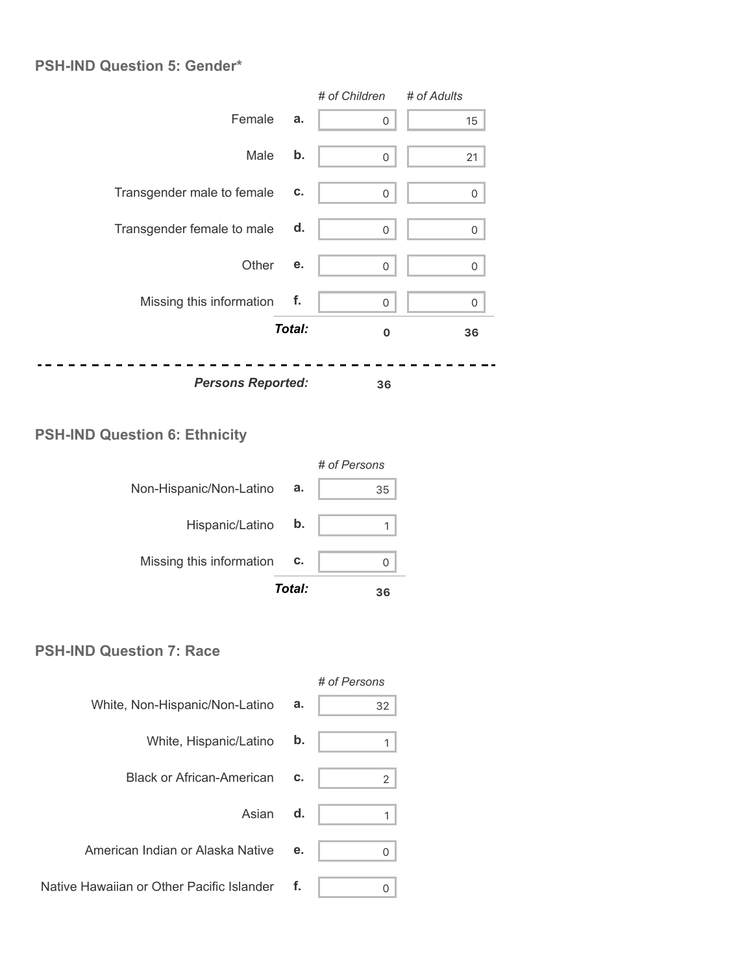#### **PSH-IND Question 5: Gender\***

|                            |        | # of Children | # of Adults |
|----------------------------|--------|---------------|-------------|
| Female                     | a.     | 0             | 15          |
| Male                       | b.     | $\mathbf 0$   | 21          |
| Transgender male to female | c.     | 0             | 0           |
| Transgender female to male | d.     | $\mathbf 0$   | 0           |
| Other                      | е.     | 0             | 0           |
| Missing this information   | f.     | $\mathbf 0$   | 0           |
|                            | Total: | 0             | 36          |
| <b>Persons Reported:</b>   |        | 36            |             |

### **PSH-IND Question 6: Ethnicity**



#### **PSH-IND Question 7: Race**

|                                           |    | # of Persons   |
|-------------------------------------------|----|----------------|
| White, Non-Hispanic/Non-Latino            | a. | 32             |
| White, Hispanic/Latino <b>b.</b>          |    |                |
| <b>Black or African-American</b>          | c. | $\overline{2}$ |
| Asian d.                                  |    |                |
| American Indian or Alaska Native          | е. | 0              |
| Native Hawaiian or Other Pacific Islander | f. | 0              |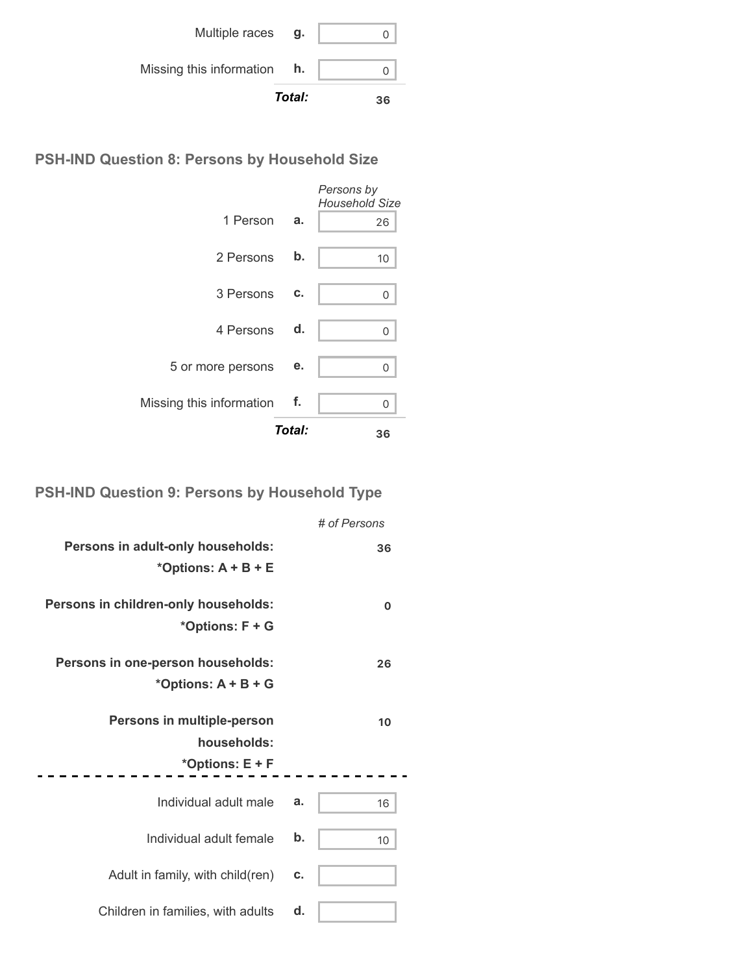|                          | Total: | 36 |
|--------------------------|--------|----|
| Missing this information | h.     |    |
| Multiple races           | g.     |    |

**PSH-IND Question 8: Persons by Household Size**

|                          |        | Persons by<br><b>Household Size</b> |
|--------------------------|--------|-------------------------------------|
| 1 Person                 | a.     | 26                                  |
| 2 Persons                | b.     | 10                                  |
| 3 Persons                | C.     | 0                                   |
| 4 Persons d.             |        | 0                                   |
| 5 or more persons        | е.     | 0                                   |
| Missing this information | f.     | 0                                   |
|                          | Total: | 36                                  |

## **PSH-IND Question 9: Persons by Household Type**

|                                                              |    | # of Persons |
|--------------------------------------------------------------|----|--------------|
| Persons in adult-only households:<br>*Options: $A + B + E$   |    | 36           |
| Persons in children-only households:<br>*Options: F + G      |    | O            |
| Persons in one-person households:<br>*Options: $A + B + G$   |    | 26           |
|                                                              |    |              |
| Persons in multiple-person<br>households:<br>*Options: E + F |    | 10           |
| Individual adult male                                        | a. | 16           |
| Individual adult female                                      | b. | 10           |
| Adult in family, with child(ren)                             | c. |              |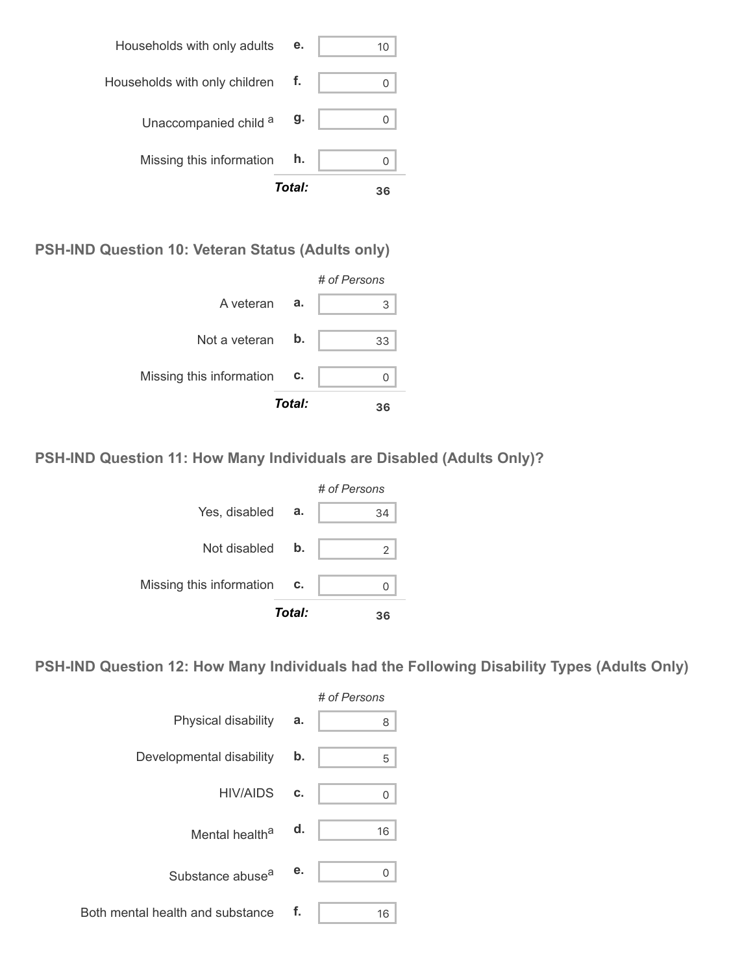|                                  | Total: | 36 |
|----------------------------------|--------|----|
| Missing this information         | h.     |    |
| Unaccompanied child a            | g.     |    |
| Households with only children f. |        |    |
| Households with only adults      | е.     | 10 |

**PSH-IND Question 10: Veteran Status (Adults only)**



**PSH-IND Question 11: How Many Individuals are Disabled (Adults Only)?**



**PSH-IND Question 12: How Many Individuals had the Following Disability Types (Adults Only)**

|                                  |    | # of Persons |
|----------------------------------|----|--------------|
| Physical disability              | a. | 8            |
| Developmental disability         | b. | 5            |
| <b>HIV/AIDS</b>                  | C. | 0            |
| Mental health <sup>a</sup>       | d. | 16           |
| Substance abuse <sup>a</sup>     | е. | 0            |
| Both mental health and substance | f. | 16           |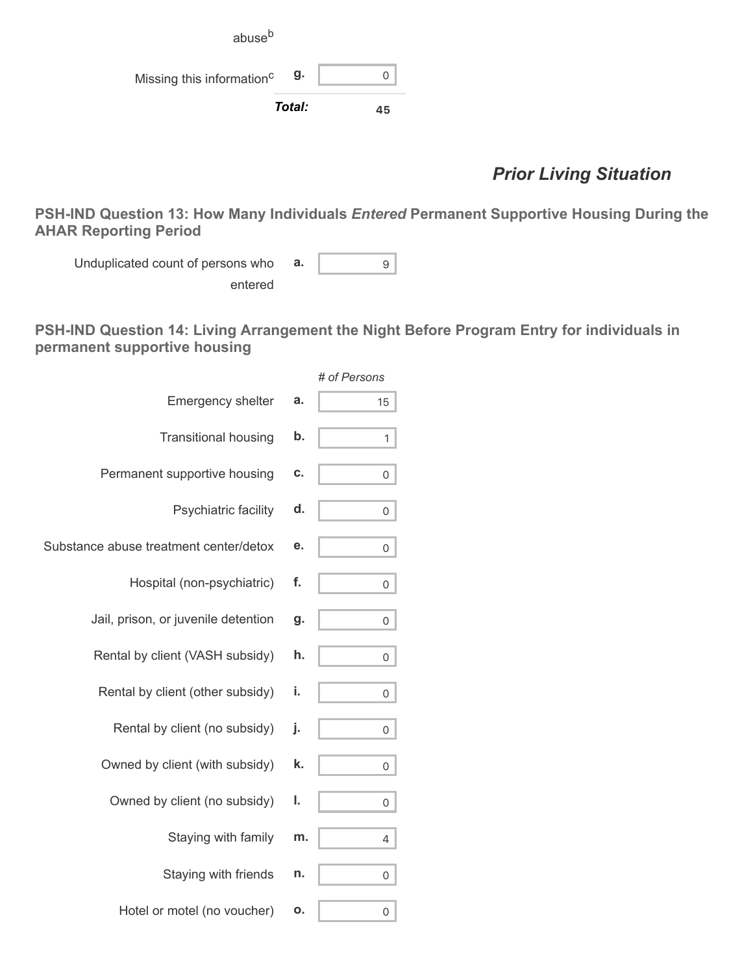|                                       | g.     | 0  |
|---------------------------------------|--------|----|
| Missing this information <sup>c</sup> | Total: | 45 |

### *Prior Living Situation*

**PSH-IND Question 13: How Many Individuals** *Entered* **Permanent Supportive Housing During the AHAR Reporting Period**

Unduplicated count of persons who entered **a.** 9

**PSH-IND Question 14: Living Arrangement the Night Before Program Entry for individuals in permanent supportive housing**

|                                        |    | # of Persons |
|----------------------------------------|----|--------------|
| <b>Emergency shelter</b>               | a. | 15           |
| <b>Transitional housing</b>            | b. | 1            |
| Permanent supportive housing           | C. | 0            |
| Psychiatric facility                   | d. | 0            |
| Substance abuse treatment center/detox | e. | 0            |
| Hospital (non-psychiatric)             | f. | 0            |
| Jail, prison, or juvenile detention    | g. | 0            |
| Rental by client (VASH subsidy)        | h. | 0            |
| Rental by client (other subsidy)       | i. | 0            |
| Rental by client (no subsidy)          | j. | 0            |
| Owned by client (with subsidy)         | k. | 0            |
| Owned by client (no subsidy)           | ı. | 0            |
| Staying with family                    | m. | 4            |
| Staying with friends                   | n. | 0            |
| Hotel or motel (no voucher)            | о. | 0            |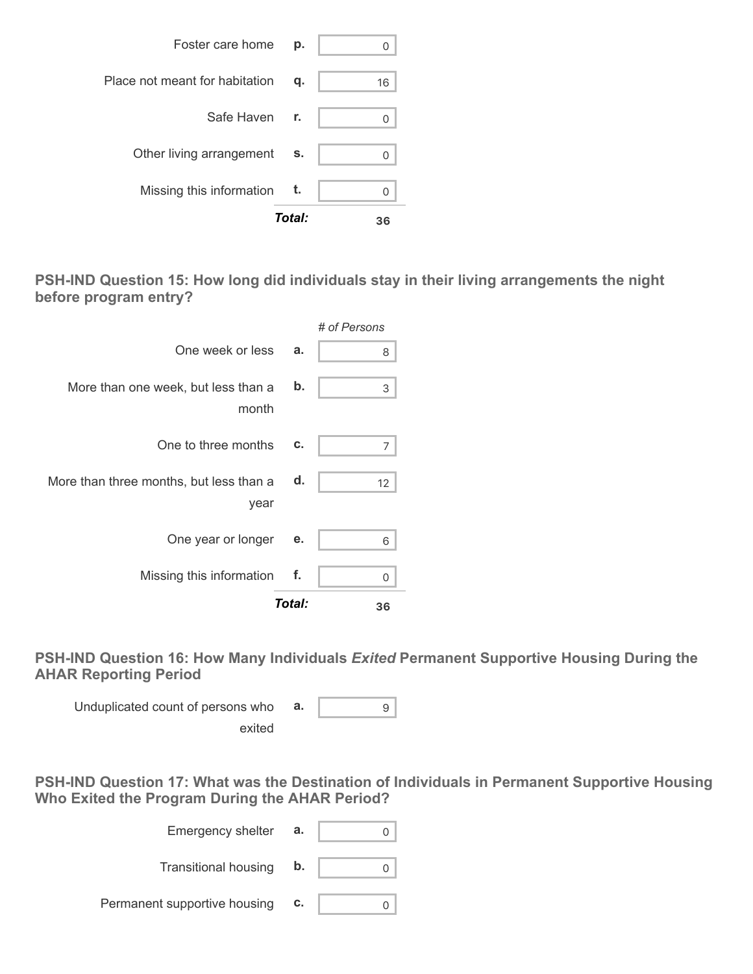

**PSH-IND Question 15: How long did individuals stay in their living arrangements the night before program entry?**

|                                                 |        | # of Persons |
|-------------------------------------------------|--------|--------------|
| One week or less                                | a.     | 8            |
| More than one week, but less than a<br>month    | b.     | 3            |
| One to three months                             | c.     | 7            |
| More than three months, but less than a<br>year | d.     | 12           |
| One year or longer                              | е.     | 6            |
| Missing this information                        | f.     | 0            |
|                                                 | Total: | 36           |

**PSH-IND Question 16: How Many Individuals** *Exited* **Permanent Supportive Housing During the AHAR Reporting Period**

Unduplicated count of persons who exited **a.** 9

**PSH-IND Question 17: What was the Destination of Individuals in Permanent Supportive Housing Who Exited the Program During the AHAR Period?**

| <b>Emergency shelter</b>     | а. |  |
|------------------------------|----|--|
| <b>Transitional housing</b>  | b. |  |
| Permanent supportive housing | C. |  |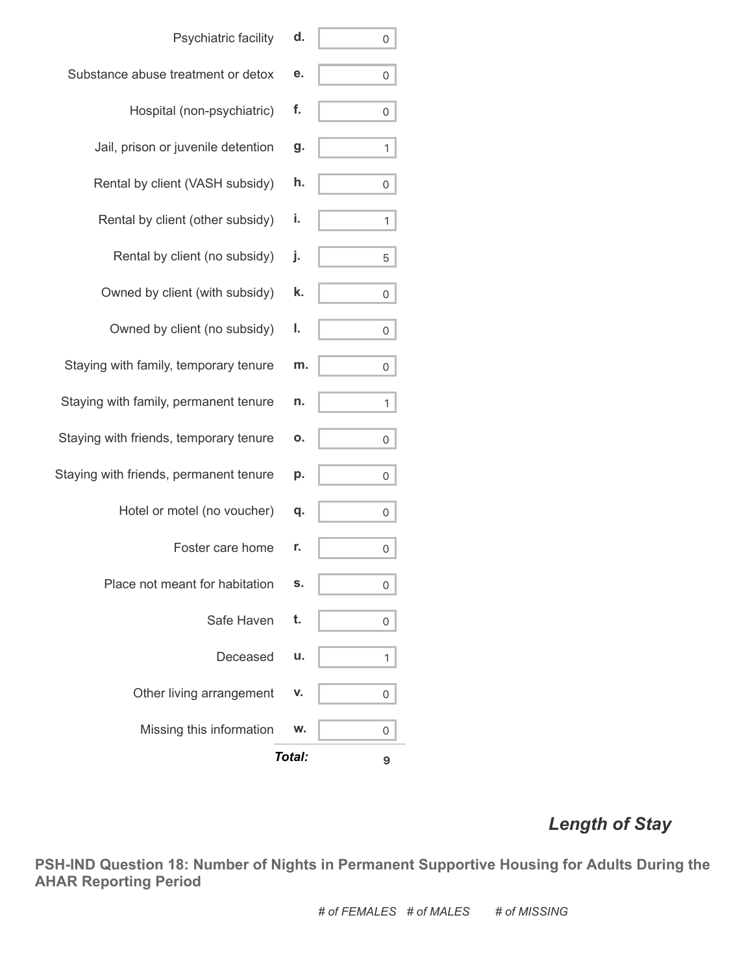| Safe Haven<br>t.<br>Deceased<br>Other living arrangement<br>Missing this information | p.<br>0<br>q.<br>0<br>0<br>s.<br>0<br>0<br>u.<br>1<br>v.<br>0<br>w.<br>0 |
|--------------------------------------------------------------------------------------|--------------------------------------------------------------------------|
|                                                                                      |                                                                          |
|                                                                                      |                                                                          |
|                                                                                      |                                                                          |
|                                                                                      |                                                                          |
| Place not meant for habitation                                                       |                                                                          |
| Foster care home<br>r.                                                               |                                                                          |
| Hotel or motel (no voucher)                                                          |                                                                          |
| Staying with friends, permanent tenure                                               |                                                                          |
| Staying with friends, temporary tenure                                               | ο.<br>0                                                                  |
| Staying with family, permanent tenure                                                | n.<br>1                                                                  |
| Staying with family, temporary tenure                                                | m.<br>0                                                                  |
| Owned by client (no subsidy)<br>ı.                                                   | 0                                                                        |
| Owned by client (with subsidy)                                                       | k.<br>0                                                                  |
| Rental by client (no subsidy)<br>j.                                                  | 5                                                                        |
| i.<br>Rental by client (other subsidy)                                               | 1                                                                        |
| Rental by client (VASH subsidy)                                                      | h.<br>0                                                                  |
| Jail, prison or juvenile detention                                                   | g.<br>1                                                                  |
| f.<br>Hospital (non-psychiatric)                                                     | 0                                                                        |
| Substance abuse treatment or detox                                                   | е.<br>0                                                                  |
| Psychiatric facility                                                                 | d.<br>0                                                                  |

## *Length of Stay*

**PSH-IND Question 18: Number of Nights in Permanent Supportive Housing for Adults During the AHAR Reporting Period**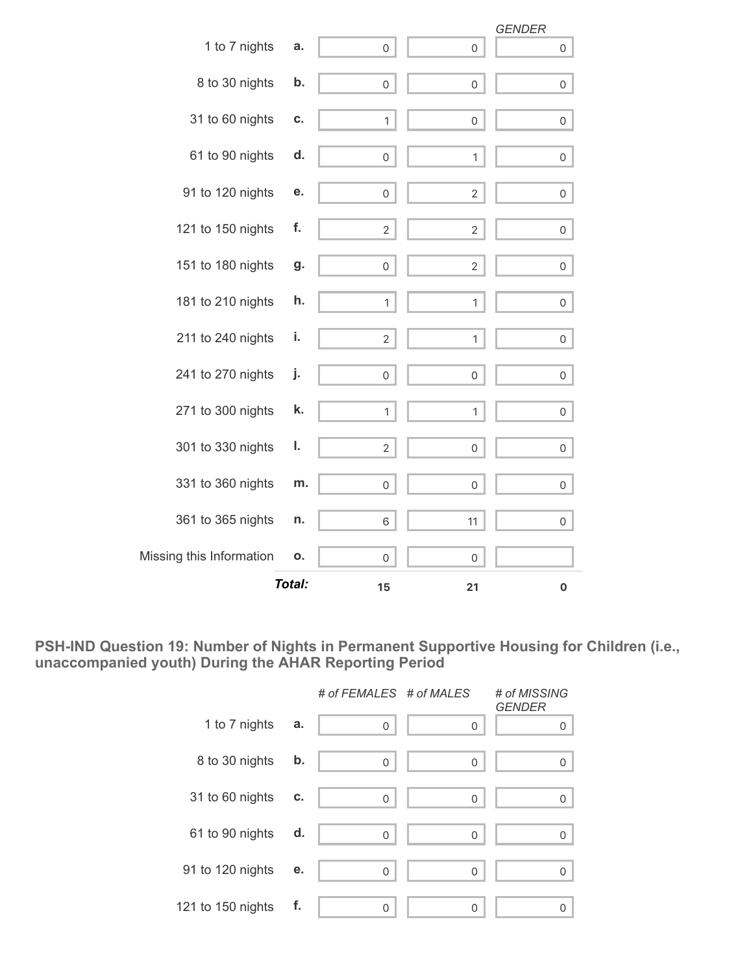|                          | <b>Total:</b> | 15                  | 21                  | 0                   |
|--------------------------|---------------|---------------------|---------------------|---------------------|
| Missing this Information | о.            | 0                   | 0                   |                     |
| 361 to 365 nights        | n.            | 6                   | 11                  | 0                   |
| 331 to 360 nights        | m.            | 0                   | 0                   | 0                   |
| 301 to 330 nights        | ı.            | $\overline{2}$      | $\mathsf{O}\xspace$ | 0                   |
| 271 to 300 nights        | k.            | $\mathbf 1$         | 1                   | 0                   |
| 241 to 270 nights        | j.            | 0                   | 0                   | 0                   |
| 211 to 240 nights        | i.            | $\overline{2}$      | 1                   | 0                   |
| 181 to 210 nights        | h.            | $\mathbf{1}$        | 1                   | $\mathsf{O}$        |
| 151 to 180 nights        | g.            | $\mathsf{O}\xspace$ | $\overline{2}$      | $\mathsf{O}\xspace$ |
| 121 to 150 nights        | f.            | $\mathbf{2}$        | $\overline{2}$      | 0                   |
| 91 to 120 nights         | е.            | 0                   | $\overline{2}$      | 0                   |
| 61 to 90 nights          | d.            | $\mathsf{O}\xspace$ | 1                   | $\mathsf{O}\xspace$ |
| 31 to 60 nights          | C.            | 1                   | $\mathsf{O}\xspace$ | 0                   |
| 8 to 30 nights           | b.            | $\mathsf{O}\xspace$ | $\mathsf{O}\xspace$ | $\mathsf{O}\xspace$ |
| 1 to 7 nights            | a.            | $\mathsf{O}\xspace$ | $\mathbf 0$         | 0                   |
|                          |               |                     |                     | <b>GENDER</b>       |

**PSH-IND Question 19: Number of Nights in Permanent Supportive Housing for Children (i.e., unaccompanied youth) During the AHAR Reporting Period**

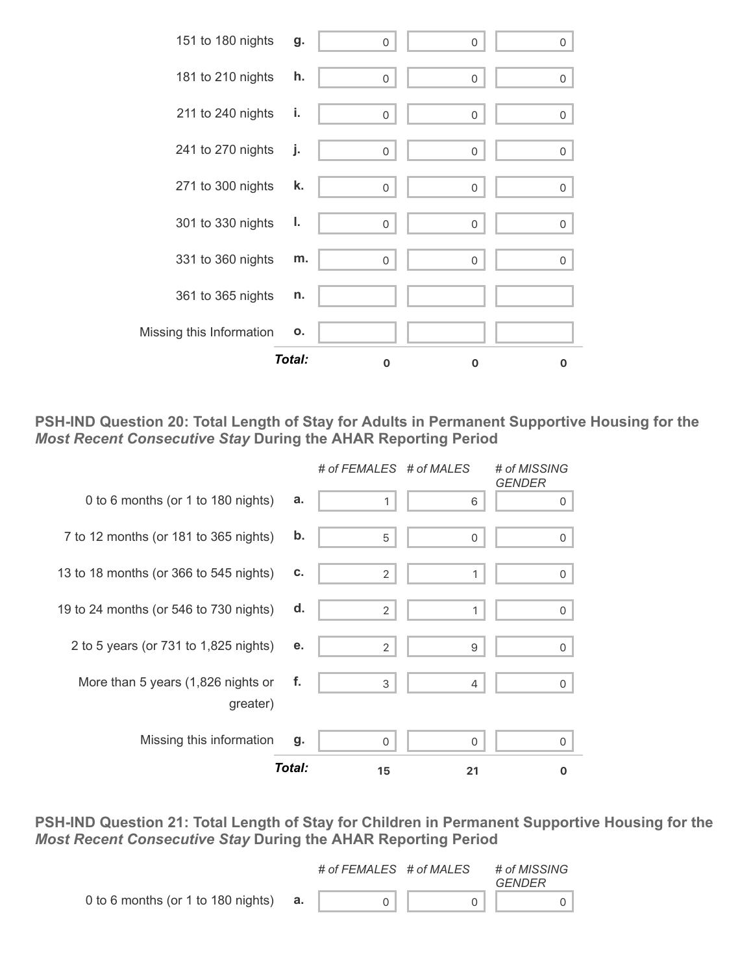

**PSH-IND Question 20: Total Length of Stay for Adults in Permanent Supportive Housing for the** *Most Recent Consecutive Stay* **During the AHAR Reporting Period**



**PSH-IND Question 21: Total Length of Stay for Children in Permanent Supportive Housing for the** *Most Recent Consecutive Stay* **During the AHAR Reporting Period**

|                                    |    | # of FEMALES # of MALES | # of MISSING<br>GENDER |
|------------------------------------|----|-------------------------|------------------------|
| 0 to 6 months (or 1 to 180 nights) | а. |                         |                        |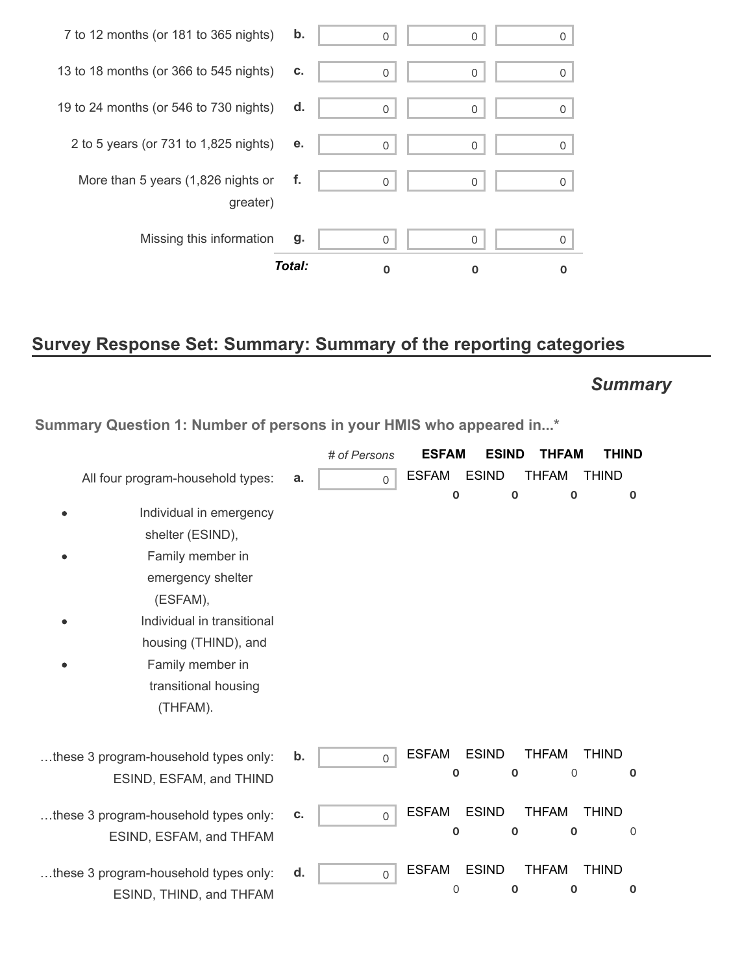|                                        | Total: | O        |          |   |
|----------------------------------------|--------|----------|----------|---|
| Missing this information               | g.     | 0        | 0        | 0 |
| greater)                               |        |          |          |   |
| More than 5 years (1,826 nights or     | f.     | $\Omega$ | $\Omega$ | 0 |
| 2 to 5 years (or 731 to 1,825 nights)  | е.     | $\Omega$ | 0        | 0 |
| 19 to 24 months (or 546 to 730 nights) | d.     | $\Omega$ | 0        | Ω |
| 13 to 18 months (or 366 to 545 nights) | C.     | $\Omega$ | $\Omega$ | 0 |
| 7 to 12 months (or 181 to 365 nights)  | b.     | 0        | 0        | 0 |

# **Survey Response Set: Summary: Summary of the reporting categories**

# *Summary*

**Summary Question 1: Number of persons in your HMIS who appeared in...\***

|                                                                                                                                                                                                                |    | # of Persons | <b>ESFAM</b>                | <b>ESIND</b>                | THFAM                       | THIND                       |
|----------------------------------------------------------------------------------------------------------------------------------------------------------------------------------------------------------------|----|--------------|-----------------------------|-----------------------------|-----------------------------|-----------------------------|
| All four program-household types:                                                                                                                                                                              | a. | $\mathbf 0$  | <b>ESFAM</b>                | <b>ESIND</b>                | <b>THFAM</b>                | <b>THIND</b>                |
| Individual in emergency<br>shelter (ESIND),<br>Family member in<br>emergency shelter<br>(ESFAM),<br>Individual in transitional<br>housing (THIND), and<br>Family member in<br>transitional housing<br>(THFAM). |    |              | $\mathbf 0$                 | 0                           | $\mathbf 0$                 | $\mathbf 0$                 |
| these 3 program-household types only:<br>ESIND, ESFAM, and THIND                                                                                                                                               | b. | $\mathsf{O}$ | <b>ESFAM</b><br>$\mathbf 0$ | <b>ESIND</b><br>$\mathbf 0$ | <b>THFAM</b><br>$\Omega$    | <b>THIND</b><br>$\mathbf 0$ |
| these 3 program-household types only:<br>ESIND, ESFAM, and THFAM                                                                                                                                               | c. | $\mathsf{O}$ | <b>ESFAM</b><br>$\bf{0}$    | <b>ESIND</b><br>0           | <b>THFAM</b><br>0           | <b>THIND</b><br>$\mathbf 0$ |
| these 3 program-household types only:<br>ESIND, THIND, and THFAM                                                                                                                                               | d. | $\mathsf{O}$ | <b>ESFAM</b><br>$\mathbf 0$ | <b>ESIND</b><br>$\mathbf 0$ | <b>THFAM</b><br>$\mathbf 0$ | <b>THIND</b><br>$\mathbf 0$ |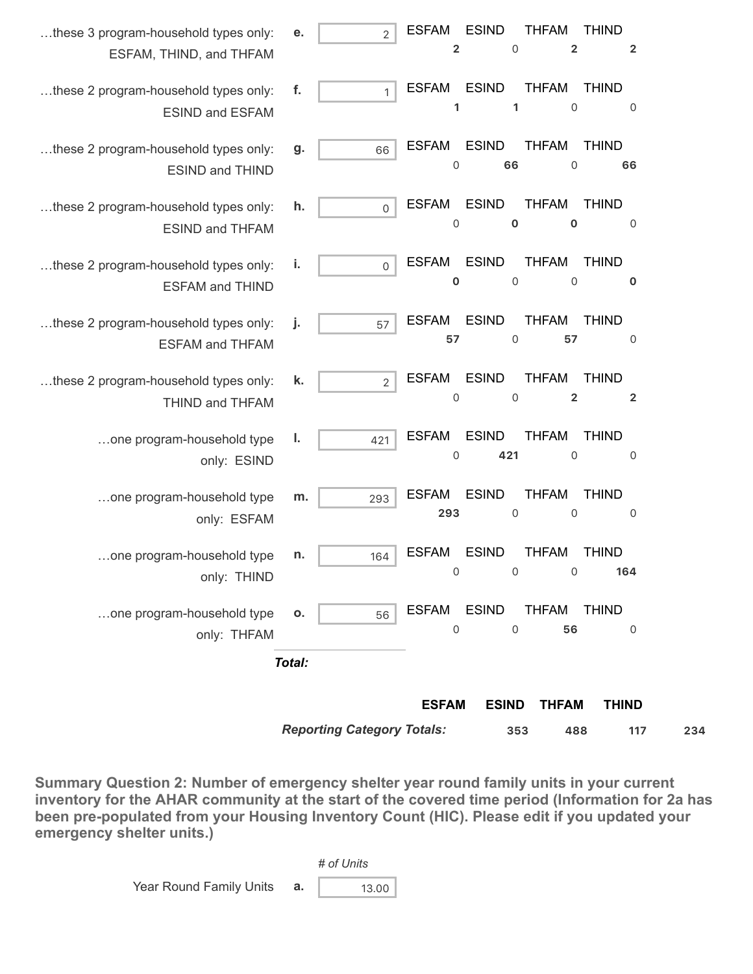|                                                                  |                      | <b>ESFAM</b><br><b>ESIND</b><br><b>THFAM</b><br><b>THIND</b>                                                                                                 |
|------------------------------------------------------------------|----------------------|--------------------------------------------------------------------------------------------------------------------------------------------------------------|
|                                                                  | Total:               |                                                                                                                                                              |
| one program-household type<br>only: THFAM                        | 0.<br>56             | <b>ESIND</b><br><b>ESFAM</b><br><b>THFAM</b><br><b>THIND</b><br>56<br>0<br>0<br>0                                                                            |
| one program-household type<br>only: THIND                        | n.<br>164            | <b>ESIND</b><br><b>ESFAM</b><br><b>THFAM</b><br><b>THIND</b><br>0<br>$\begin{array}{ccc} & & 0 & & 0 \end{array}$<br>164                                     |
| one program-household type<br>only: ESFAM                        | m.<br>293            | <b>ESIND</b><br><b>ESFAM</b><br><b>THFAM</b><br><b>THIND</b><br>293<br>$\mathbf 0$<br>0<br>$\mathsf{O}$                                                      |
| one program-household type<br>only: ESIND                        | I.<br>421            | <b>ESIND</b><br><b>ESFAM</b><br><b>THFAM</b><br><b>THIND</b><br>421<br>0<br>0<br>$\overline{0}$                                                              |
| these 2 program-household types only:<br>THIND and THFAM         | k.<br>$\overline{2}$ | <b>ESIND</b><br><b>ESFAM</b><br><b>THFAM</b><br><b>THIND</b><br>$\mathbf 2$<br>0<br>$\mathbf 0$<br>$\overline{\mathbf{2}}$                                   |
| these 2 program-household types only:<br><b>ESFAM and THFAM</b>  | j.<br>57             | <b>ESIND</b><br><b>THFAM</b><br><b>ESFAM</b><br><b>THIND</b><br>$\mathbf 0$<br>57<br>57<br>$\mathsf{O}$                                                      |
| these 2 program-household types only:<br><b>ESFAM and THIND</b>  | j,<br>$\mathsf{O}$   | <b>ESIND</b><br><b>ESFAM</b><br><b>THFAM</b><br><b>THIND</b><br>$\mathsf{O}$<br>$\mathbf 0$<br>$\mathsf{O}$<br>$\mathbf 0$                                   |
| these 2 program-household types only:<br><b>ESIND and THFAM</b>  | h.<br>0              | <b>ESIND</b><br><b>ESFAM</b><br><b>THFAM</b><br><b>THIND</b><br>$\mathbf 0$<br>$\mathsf{O}\xspace$<br>$\mathbf 0$<br>$\mathsf{O}$                            |
| these 2 program-household types only:<br><b>ESIND and THIND</b>  | g.<br>66             | <b>ESIND</b><br><b>ESFAM</b><br><b>THFAM</b><br><b>THIND</b><br>$\mathsf{O}\xspace$<br>66<br>$\mathsf{O}\xspace$<br>66                                       |
| these 2 program-household types only:<br><b>ESIND and ESFAM</b>  | f.<br>$\mathbf{1}$   | <b>ESIND</b><br><b>ESFAM</b><br><b>THFAM</b><br><b>THIND</b><br>1<br>$\mathbf 0$<br>1<br>$\mathbf 0$                                                         |
| these 3 program-household types only:<br>ESFAM, THIND, and THFAM | $\overline{2}$<br>е. | <b>ESIND</b><br><b>THFAM</b><br><b>ESFAM</b><br><b>THIND</b><br>$\overline{\mathbf{2}}$<br>$\overline{\mathbf{c}}$<br>$\mathbf 0$<br>$\overline{\mathbf{2}}$ |

*Reporting Category Totals:* **353 488 117 234**

**Summary Question 2: Number of emergency shelter year round family units in your current inventory for the AHAR community at the start of the covered time period (Information for 2a has been pre-populated from your Housing Inventory Count (HIC). Please edit if you updated your emergency shelter units.)**

|                         | # of Units |  |
|-------------------------|------------|--|
| Year Round Family Units | 13.00      |  |